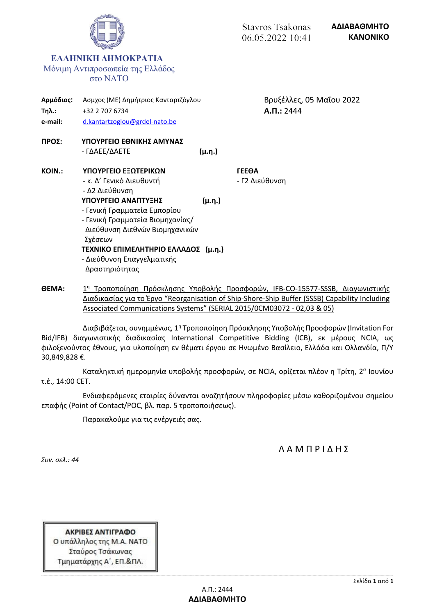

Διαδικασίας για το Έργο "Reorganisation of Ship-Shore-Ship Buffer (SSSB) Capability Including Associated Communications Systems" (SERIAL 2015/0CM03072 - 02,03 & 05)

Διαβιβάζεται, συνημμένως, 1<sup>η</sup> Τροποποίηση Πρόσκλησης Υποβολής Προσφορών (Invitation For Bid/IFB) διαγωνιστικής διαδικασίας International Competitive Bidding (ICB), εκ μέρους NCIA, ως φιλοξενούντος έθνους, για υλοποίηση εν θέματι έργου σε Ηνωμένο Βασίλειο, Ελλάδα και Ολλανδία, Π/Υ 30,849,828 €.

Καταληκτική ημερομηνία υποβολής προσφορών, σε NCIA, ορίζεται πλέον η Τρίτη, 2 α Ιουνίου τ.έ., 14:00 CET.

Ενδιαφερόμενες εταιρίες δύνανται αναζητήσουν πληροφορίες μέσω καθοριζομένου σημείου επαφής (Point of Contact/POC, βλ. παρ. 5 τροποποιήσεως).

Παρακαλούμε για τις ενέργειές σας.

Λ Α Μ Π Ρ Ι Δ Η Σ

*Συν. σελ.: 44*

ΑΚΡΙΒΕΣ ΑΝΤΙΓΡΑΦΟ Ο υπάλληλος της Μ.Α. ΝΑΤΟ Σταύρος Τσάκωνας Τμηματάρχης Α΄, ΕΠ.&ΠΛ.

**-------------------------------------------------------------------------------------------------------------------------------------------------------------------------------------------------------------------------------------------------------------------------------------------------**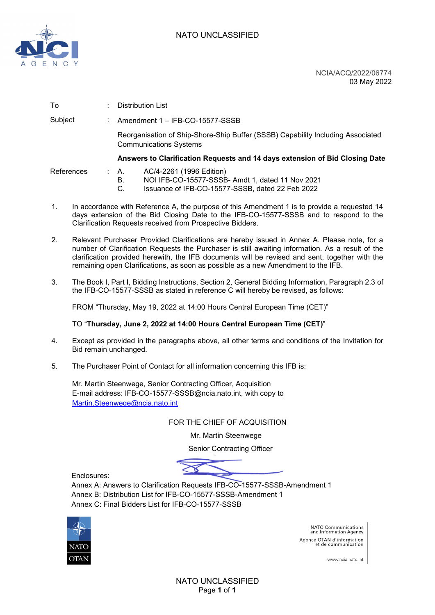

NCIA/ACQ/2022/06774 03 May 2022

| To         |  | Distribution List                                                                                                                                  |
|------------|--|----------------------------------------------------------------------------------------------------------------------------------------------------|
| Subject    |  | Amendment 1 - IFB-CO-15577-SSSB                                                                                                                    |
|            |  | Reorganisation of Ship-Shore-Ship Buffer (SSSB) Capability Including Associated<br><b>Communications Systems</b>                                   |
|            |  | Answers to Clarification Requests and 14 days extension of Bid Closing Date                                                                        |
| References |  | AC/4-2261 (1996 Edition)<br>A.<br>NOI IFB-CO-15577-SSSB- Amdt 1, dated 11 Nov 2021<br>В.<br>Issuance of IFB-CO-15577-SSSB, dated 22 Feb 2022<br>C. |

- 1. In accordance with Reference A, the purpose of this Amendment 1 is to provide a requested 14 days extension of the Bid Closing Date to the IFB-CO-15577-SSSB and to respond to the Clarification Requests received from Prospective Bidders.
- 2. Relevant Purchaser Provided Clarifications are hereby issued in Annex A. Please note, for a number of Clarification Requests the Purchaser is still awaiting information. As a result of the clarification provided herewith, the IFB documents will be revised and sent, together with the remaining open Clarifications, as soon as possible as a new Amendment to the IFB.
- 3. The Book I, Part I, Bidding Instructions, Section 2, General Bidding Information, Paragraph 2.3 of the IFB-CO-15577-SSSB as stated in reference C will hereby be revised, as follows:

FROM "Thursday, May 19, 2022 at 14:00 Hours Central European Time (CET)"

TO "**Thursday, June 2, 2022 at 14:00 Hours Central European Time (CET)**"

- 4. Except as provided in the paragraphs above, all other terms and conditions of the Invitation for Bid remain unchanged.
- 5. The Purchaser Point of Contact for all information concerning this IFB is:

Mr. Martin Steenwege, Senior Contracting Officer, Acquisition E-mail address: IFB-CO-15577-SSSB@ncia.nato.int, with copy to [Martin.Steenwege@ncia.nato.int](mailto:Martin.Steenwege@ncia.nato.int)

#### FOR THE CHIEF OF ACQUISITION

Mr. Martin Steenwege

Senior Contracting Officer

Enclosures:

Annex A: Answers to Clarification Requests IFB-CO-15577-SSSB-Amendment 1 Annex B: Distribution List for IFB-CO-15577-SSSB-Amendment 1 Annex C: Final Bidders List for IFB-CO-15577-SSSB



NATO Communications<br>and Information Agency Agence OTAN d'information et de communication

www.ncia.nato.int

NATO UNCLASSIFIED Page **1** of **1**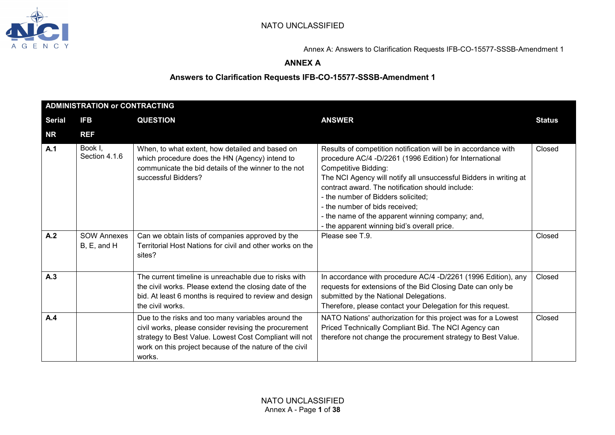

## **ANNEX A**

| <b>ADMINISTRATION or CONTRACTING</b> |                                   |                                                                                                                                                                                                                                            |                                                                                                                                                                                                                                                                                                                                                                                                                                                              |               |  |
|--------------------------------------|-----------------------------------|--------------------------------------------------------------------------------------------------------------------------------------------------------------------------------------------------------------------------------------------|--------------------------------------------------------------------------------------------------------------------------------------------------------------------------------------------------------------------------------------------------------------------------------------------------------------------------------------------------------------------------------------------------------------------------------------------------------------|---------------|--|
| <b>Serial</b>                        | <b>IFB</b>                        | <b>QUESTION</b>                                                                                                                                                                                                                            | <b>ANSWER</b>                                                                                                                                                                                                                                                                                                                                                                                                                                                | <b>Status</b> |  |
| <b>NR</b>                            | <b>REF</b>                        |                                                                                                                                                                                                                                            |                                                                                                                                                                                                                                                                                                                                                                                                                                                              |               |  |
| A.1                                  | Book I,<br>Section 4.1.6          | When, to what extent, how detailed and based on<br>which procedure does the HN (Agency) intend to<br>communicate the bid details of the winner to the not<br>successful Bidders?                                                           | Results of competition notification will be in accordance with<br>procedure AC/4 -D/2261 (1996 Edition) for International<br><b>Competitive Bidding:</b><br>The NCI Agency will notify all unsuccessful Bidders in writing at<br>contract award. The notification should include:<br>- the number of Bidders solicited;<br>- the number of bids received;<br>- the name of the apparent winning company; and,<br>- the apparent winning bid's overall price. | Closed        |  |
| A.2                                  | <b>SOW Annexes</b><br>B, E, and H | Can we obtain lists of companies approved by the<br>Territorial Host Nations for civil and other works on the<br>sites?                                                                                                                    | Please see T.9.                                                                                                                                                                                                                                                                                                                                                                                                                                              | Closed        |  |
| A.3                                  |                                   | The current timeline is unreachable due to risks with<br>the civil works. Please extend the closing date of the<br>bid. At least 6 months is required to review and design<br>the civil works.                                             | In accordance with procedure AC/4 -D/2261 (1996 Edition), any<br>requests for extensions of the Bid Closing Date can only be<br>submitted by the National Delegations.<br>Therefore, please contact your Delegation for this request.                                                                                                                                                                                                                        | Closed        |  |
| A.4                                  |                                   | Due to the risks and too many variables around the<br>civil works, please consider revising the procurement<br>strategy to Best Value. Lowest Cost Compliant will not<br>work on this project because of the nature of the civil<br>works. | NATO Nations' authorization for this project was for a Lowest<br>Priced Technically Compliant Bid. The NCI Agency can<br>therefore not change the procurement strategy to Best Value.                                                                                                                                                                                                                                                                        | Closed        |  |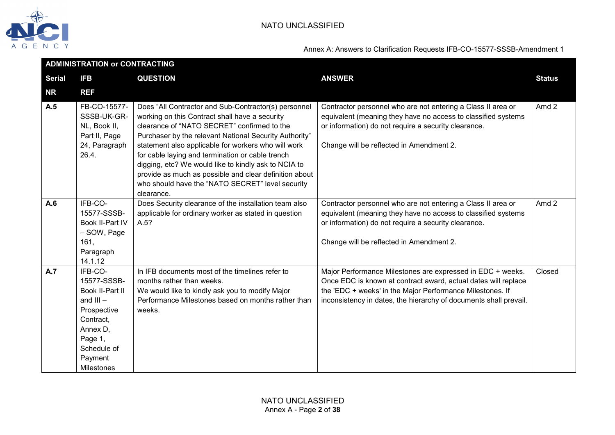

| <b>ADMINISTRATION or CONTRACTING</b> |                                                                                                                                                     |                                                                                                                                                                                                                                                                                                                                                                                                                                                                                                                |                                                                                                                                                                                                                                                                |                  |  |
|--------------------------------------|-----------------------------------------------------------------------------------------------------------------------------------------------------|----------------------------------------------------------------------------------------------------------------------------------------------------------------------------------------------------------------------------------------------------------------------------------------------------------------------------------------------------------------------------------------------------------------------------------------------------------------------------------------------------------------|----------------------------------------------------------------------------------------------------------------------------------------------------------------------------------------------------------------------------------------------------------------|------------------|--|
| <b>Serial</b>                        | <b>IFB</b>                                                                                                                                          | <b>QUESTION</b>                                                                                                                                                                                                                                                                                                                                                                                                                                                                                                | <b>ANSWER</b>                                                                                                                                                                                                                                                  | <b>Status</b>    |  |
| <b>NR</b>                            | <b>REF</b>                                                                                                                                          |                                                                                                                                                                                                                                                                                                                                                                                                                                                                                                                |                                                                                                                                                                                                                                                                |                  |  |
| A.5                                  | FB-CO-15577-<br>SSSB-UK-GR-<br>NL, Book II,<br>Part II, Page<br>24, Paragraph<br>26.4.                                                              | Does "All Contractor and Sub-Contractor(s) personnel<br>working on this Contract shall have a security<br>clearance of "NATO SECRET" confirmed to the<br>Purchaser by the relevant National Security Authority"<br>statement also applicable for workers who will work<br>for cable laying and termination or cable trench<br>digging, etc? We would like to kindly ask to NCIA to<br>provide as much as possible and clear definition about<br>who should have the "NATO SECRET" level security<br>clearance. | Contractor personnel who are not entering a Class II area or<br>equivalent (meaning they have no access to classified systems<br>or information) do not require a security clearance.<br>Change will be reflected in Amendment 2.                              | Amd 2            |  |
| A.6                                  | IFB-CO-<br>15577-SSSB-<br>Book II-Part IV<br>- SOW, Page<br>161,<br>Paragraph<br>14.1.12                                                            | Does Security clearance of the installation team also<br>applicable for ordinary worker as stated in question<br>A.5?                                                                                                                                                                                                                                                                                                                                                                                          | Contractor personnel who are not entering a Class II area or<br>equivalent (meaning they have no access to classified systems<br>or information) do not require a security clearance.<br>Change will be reflected in Amendment 2.                              | Amd <sub>2</sub> |  |
| A.7                                  | IFB-CO-<br>15577-SSSB-<br>Book II-Part II<br>and $III -$<br>Prospective<br>Contract,<br>Annex D,<br>Page 1,<br>Schedule of<br>Payment<br>Milestones | In IFB documents most of the timelines refer to<br>months rather than weeks.<br>We would like to kindly ask you to modify Major<br>Performance Milestones based on months rather than<br>weeks.                                                                                                                                                                                                                                                                                                                | Major Performance Milestones are expressed in EDC + weeks.<br>Once EDC is known at contract award, actual dates will replace<br>the 'EDC + weeks' in the Major Performance Milestones. If<br>inconsistency in dates, the hierarchy of documents shall prevail. | Closed           |  |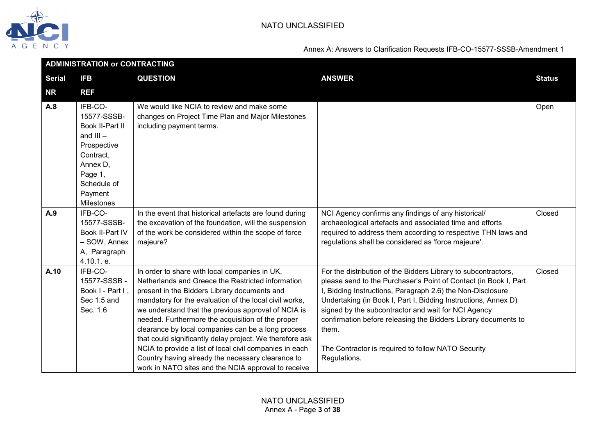

|               | <b>ADMINISTRATION or CONTRACTING</b>                                                                                                                |                                                                                                                                                                                                                                                                                                                                                                                                                                                                                                                                                                                                                   |                                                                                                                                                                                                                                                                                                                                                                                                                                                                            |               |  |
|---------------|-----------------------------------------------------------------------------------------------------------------------------------------------------|-------------------------------------------------------------------------------------------------------------------------------------------------------------------------------------------------------------------------------------------------------------------------------------------------------------------------------------------------------------------------------------------------------------------------------------------------------------------------------------------------------------------------------------------------------------------------------------------------------------------|----------------------------------------------------------------------------------------------------------------------------------------------------------------------------------------------------------------------------------------------------------------------------------------------------------------------------------------------------------------------------------------------------------------------------------------------------------------------------|---------------|--|
| <b>Serial</b> | <b>IFB</b>                                                                                                                                          | <b>QUESTION</b>                                                                                                                                                                                                                                                                                                                                                                                                                                                                                                                                                                                                   | <b>ANSWER</b>                                                                                                                                                                                                                                                                                                                                                                                                                                                              | <b>Status</b> |  |
| <b>NR</b>     | <b>REF</b>                                                                                                                                          |                                                                                                                                                                                                                                                                                                                                                                                                                                                                                                                                                                                                                   |                                                                                                                                                                                                                                                                                                                                                                                                                                                                            |               |  |
| A.8           | IFB-CO-<br>15577-SSSB-<br>Book II-Part II<br>and $III -$<br>Prospective<br>Contract,<br>Annex D.<br>Page 1,<br>Schedule of<br>Payment<br>Milestones | We would like NCIA to review and make some<br>changes on Project Time Plan and Major Milestones<br>including payment terms.                                                                                                                                                                                                                                                                                                                                                                                                                                                                                       |                                                                                                                                                                                                                                                                                                                                                                                                                                                                            | Open          |  |
| A.9           | IFB-CO-<br>15577-SSSB-<br>Book II-Part IV<br>– SOW, Annex<br>A, Paragraph<br>4.10.1. e.                                                             | In the event that historical artefacts are found during<br>the excavation of the foundation, will the suspension<br>of the work be considered within the scope of force<br>majeure?                                                                                                                                                                                                                                                                                                                                                                                                                               | NCI Agency confirms any findings of any historical/<br>archaeological artefacts and associated time and efforts<br>required to address them according to respective THN laws and<br>regulations shall be considered as 'force majeure'.                                                                                                                                                                                                                                    | Closed        |  |
| A.10          | IFB-CO-<br>15577-SSSB-<br>Book I - Part I,<br>Sec 1.5 and<br>Sec. 1.6                                                                               | In order to share with local companies in UK,<br>Netherlands and Greece the Restricted information<br>present in the Bidders Library documents and<br>mandatory for the evaluation of the local civil works,<br>we understand that the previous approval of NCIA is<br>needed. Furthermore the acquisition of the proper<br>clearance by local companies can be a long process<br>that could significantly delay project. We therefore ask<br>NCIA to provide a list of local civil companies in each<br>Country having already the necessary clearance to<br>work in NATO sites and the NCIA approval to receive | For the distribution of the Bidders Library to subcontractors,<br>please send to the Purchaser's Point of Contact (in Book I, Part<br>I, Bidding Instructions, Paragraph 2.6) the Non-Disclosure<br>Undertaking (in Book I, Part I, Bidding Instructions, Annex D)<br>signed by the subcontractor and wait for NCI Agency<br>confirmation before releasing the Bidders Library documents to<br>them.<br>The Contractor is required to follow NATO Security<br>Regulations. | Closed        |  |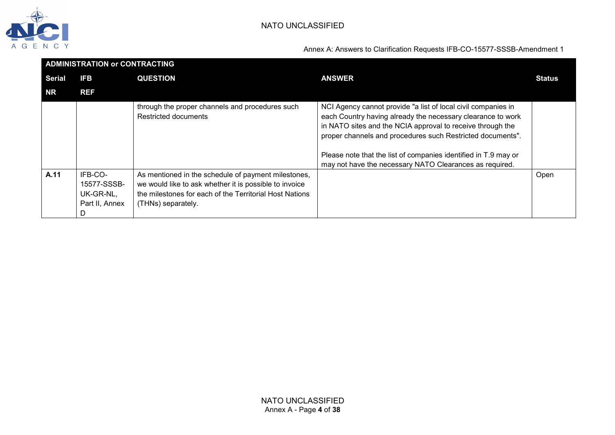

|        | <b>ADMINISTRATION or CONTRACTING</b>                  |                                                                                                                                                                                                |                                                                                                                                                                                                                                                                                                                                                                                        |               |  |
|--------|-------------------------------------------------------|------------------------------------------------------------------------------------------------------------------------------------------------------------------------------------------------|----------------------------------------------------------------------------------------------------------------------------------------------------------------------------------------------------------------------------------------------------------------------------------------------------------------------------------------------------------------------------------------|---------------|--|
| Serial | <b>IFB</b>                                            | <b>QUESTION</b>                                                                                                                                                                                | <b>ANSWER</b>                                                                                                                                                                                                                                                                                                                                                                          | <b>Status</b> |  |
| NR     | <b>REF</b>                                            |                                                                                                                                                                                                |                                                                                                                                                                                                                                                                                                                                                                                        |               |  |
|        |                                                       | through the proper channels and procedures such<br><b>Restricted documents</b>                                                                                                                 | NCI Agency cannot provide "a list of local civil companies in<br>each Country having already the necessary clearance to work<br>in NATO sites and the NCIA approval to receive through the<br>proper channels and procedures such Restricted documents".<br>Please note that the list of companies identified in T.9 may or<br>may not have the necessary NATO Clearances as required. |               |  |
| A.11   | IFB-CO-<br>15577-SSSB-<br>UK-GR-NL,<br>Part II, Annex | As mentioned in the schedule of payment milestones,<br>we would like to ask whether it is possible to invoice<br>the milestones for each of the Territorial Host Nations<br>(THNs) separately. |                                                                                                                                                                                                                                                                                                                                                                                        | Open          |  |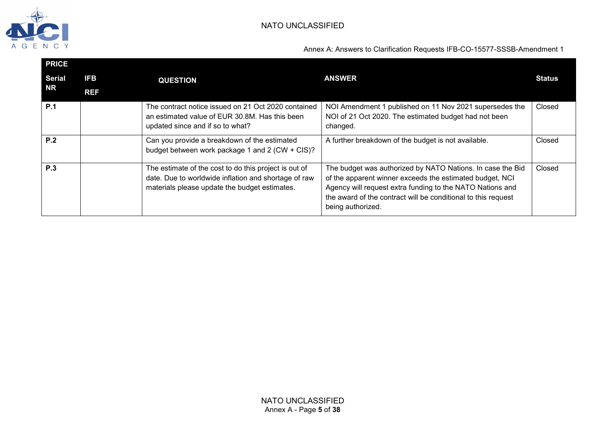

| <b>PRICE</b>  |            |                                                                                                                                                                |                                                                                                                                                                                                                                                                           |               |
|---------------|------------|----------------------------------------------------------------------------------------------------------------------------------------------------------------|---------------------------------------------------------------------------------------------------------------------------------------------------------------------------------------------------------------------------------------------------------------------------|---------------|
| <b>Serial</b> | <b>IFB</b> | <b>QUESTION</b>                                                                                                                                                | <b>ANSWER</b>                                                                                                                                                                                                                                                             | <b>Status</b> |
| NR            | <b>REF</b> |                                                                                                                                                                |                                                                                                                                                                                                                                                                           |               |
| P.1           |            | The contract notice issued on 21 Oct 2020 contained<br>an estimated value of EUR 30.8M. Has this been<br>updated since and if so to what?                      | NOI Amendment 1 published on 11 Nov 2021 supersedes the<br>NOI of 21 Oct 2020. The estimated budget had not been<br>changed.                                                                                                                                              | Closed        |
| P.2           |            | Can you provide a breakdown of the estimated<br>budget between work package 1 and 2 (CW + CIS)?                                                                | A further breakdown of the budget is not available.                                                                                                                                                                                                                       | Closed        |
| P.3           |            | The estimate of the cost to do this project is out of<br>date. Due to worldwide inflation and shortage of raw<br>materials please update the budget estimates. | The budget was authorized by NATO Nations. In case the Bid<br>of the apparent winner exceeds the estimated budget, NCI<br>Agency will request extra funding to the NATO Nations and<br>the award of the contract will be conditional to this request<br>being authorized. | Closed        |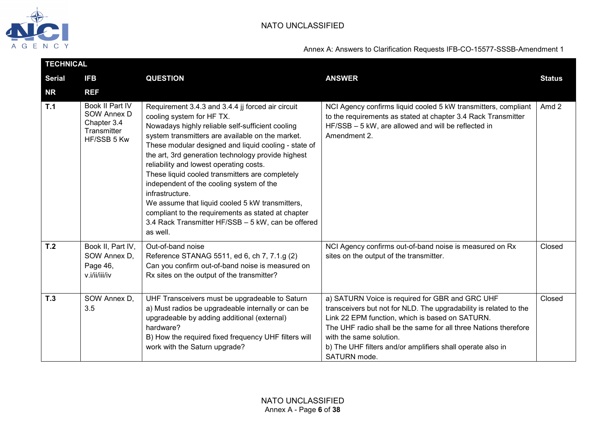

|               | <b>TECHNICAL</b>                                                            |                                                                                                                                                                                                                                                                                                                                                                                                                                                                                                                                                                                                                                              |                                                                                                                                                                                                                                                                                                                                                     |               |  |  |
|---------------|-----------------------------------------------------------------------------|----------------------------------------------------------------------------------------------------------------------------------------------------------------------------------------------------------------------------------------------------------------------------------------------------------------------------------------------------------------------------------------------------------------------------------------------------------------------------------------------------------------------------------------------------------------------------------------------------------------------------------------------|-----------------------------------------------------------------------------------------------------------------------------------------------------------------------------------------------------------------------------------------------------------------------------------------------------------------------------------------------------|---------------|--|--|
| <b>Serial</b> | <b>IFB</b>                                                                  | <b>QUESTION</b>                                                                                                                                                                                                                                                                                                                                                                                                                                                                                                                                                                                                                              | <b>ANSWER</b>                                                                                                                                                                                                                                                                                                                                       | <b>Status</b> |  |  |
| <b>NR</b>     | <b>REF</b>                                                                  |                                                                                                                                                                                                                                                                                                                                                                                                                                                                                                                                                                                                                                              |                                                                                                                                                                                                                                                                                                                                                     |               |  |  |
| T.1           | Book II Part IV<br>SOW Annex D<br>Chapter 3.4<br>Transmitter<br>HF/SSB 5 Kw | Requirement 3.4.3 and 3.4.4 jj forced air circuit<br>cooling system for HF TX.<br>Nowadays highly reliable self-sufficient cooling<br>system transmitters are available on the market.<br>These modular designed and liquid cooling - state of<br>the art, 3rd generation technology provide highest<br>reliability and lowest operating costs.<br>These liquid cooled transmitters are completely<br>independent of the cooling system of the<br>infrastructure.<br>We assume that liquid cooled 5 kW transmitters,<br>compliant to the requirements as stated at chapter<br>3.4 Rack Transmitter HF/SSB - 5 kW, can be offered<br>as well. | NCI Agency confirms liquid cooled 5 kW transmitters, compliant<br>to the requirements as stated at chapter 3.4 Rack Transmitter<br>HF/SSB - 5 kW, are allowed and will be reflected in<br>Amendment 2.                                                                                                                                              | Amd 2         |  |  |
| T.2           | Book II, Part IV,<br>SOW Annex D,<br>Page 46,<br>v.i/ii/iii/iv              | Out-of-band noise<br>Reference STANAG 5511, ed 6, ch 7, 7.1.g (2)<br>Can you confirm out-of-band noise is measured on<br>Rx sites on the output of the transmitter?                                                                                                                                                                                                                                                                                                                                                                                                                                                                          | NCI Agency confirms out-of-band noise is measured on Rx<br>sites on the output of the transmitter.                                                                                                                                                                                                                                                  | Closed        |  |  |
| T.3           | SOW Annex D,<br>3.5                                                         | UHF Transceivers must be upgradeable to Saturn<br>a) Must radios be upgradeable internally or can be<br>upgradeable by adding additional (external)<br>hardware?<br>B) How the required fixed frequency UHF filters will<br>work with the Saturn upgrade?                                                                                                                                                                                                                                                                                                                                                                                    | a) SATURN Voice is required for GBR and GRC UHF<br>transceivers but not for NLD. The upgradability is related to the<br>Link 22 EPM function, which is based on SATURN.<br>The UHF radio shall be the same for all three Nations therefore<br>with the same solution.<br>b) The UHF filters and/or amplifiers shall operate also in<br>SATURN mode. | Closed        |  |  |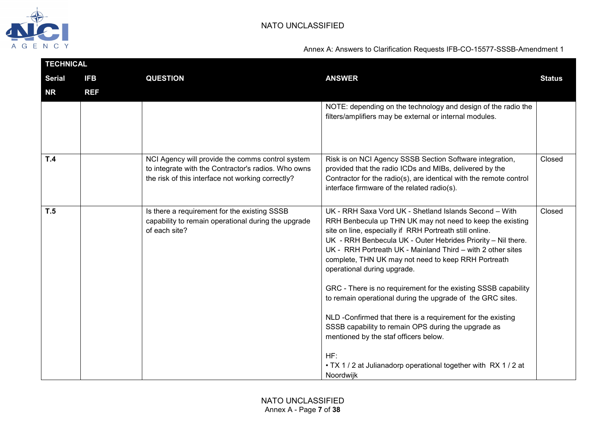

|               | <b>TECHNICAL</b> |                                                                                                                                                              |                                                                                                                                                                                                                                                                                                                                                                                                                                                                                                                                                                                                                                                                                                                                                                                           |               |  |  |
|---------------|------------------|--------------------------------------------------------------------------------------------------------------------------------------------------------------|-------------------------------------------------------------------------------------------------------------------------------------------------------------------------------------------------------------------------------------------------------------------------------------------------------------------------------------------------------------------------------------------------------------------------------------------------------------------------------------------------------------------------------------------------------------------------------------------------------------------------------------------------------------------------------------------------------------------------------------------------------------------------------------------|---------------|--|--|
| <b>Serial</b> | <b>IFB</b>       | <b>QUESTION</b>                                                                                                                                              | <b>ANSWER</b>                                                                                                                                                                                                                                                                                                                                                                                                                                                                                                                                                                                                                                                                                                                                                                             | <b>Status</b> |  |  |
| <b>NR</b>     | <b>REF</b>       |                                                                                                                                                              |                                                                                                                                                                                                                                                                                                                                                                                                                                                                                                                                                                                                                                                                                                                                                                                           |               |  |  |
|               |                  |                                                                                                                                                              | NOTE: depending on the technology and design of the radio the<br>filters/amplifiers may be external or internal modules.                                                                                                                                                                                                                                                                                                                                                                                                                                                                                                                                                                                                                                                                  |               |  |  |
| T.4           |                  | NCI Agency will provide the comms control system<br>to integrate with the Contractor's radios. Who owns<br>the risk of this interface not working correctly? | Risk is on NCI Agency SSSB Section Software integration,<br>provided that the radio ICDs and MIBs, delivered by the<br>Contractor for the radio(s), are identical with the remote control<br>interface firmware of the related radio(s).                                                                                                                                                                                                                                                                                                                                                                                                                                                                                                                                                  | Closed        |  |  |
| T.5           |                  | Is there a requirement for the existing SSSB<br>capability to remain operational during the upgrade<br>of each site?                                         | UK - RRH Saxa Vord UK - Shetland Islands Second - With<br>RRH Benbecula up THN UK may not need to keep the existing<br>site on line, especially if RRH Portreath still online.<br>UK - RRH Benbecula UK - Outer Hebrides Priority - Nil there.<br>UK - RRH Portreath UK - Mainland Third - with 2 other sites<br>complete, THN UK may not need to keep RRH Portreath<br>operational during upgrade.<br>GRC - There is no requirement for the existing SSSB capability<br>to remain operational during the upgrade of the GRC sites.<br>NLD -Confirmed that there is a requirement for the existing<br>SSSB capability to remain OPS during the upgrade as<br>mentioned by the staf officers below.<br>HF:<br>• TX 1 / 2 at Julianadorp operational together with RX 1 / 2 at<br>Noordwijk | Closed        |  |  |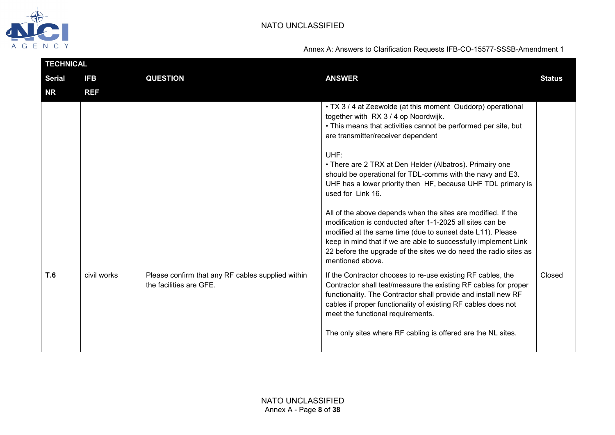

|               | <b>TECHNICAL</b> |                                                                              |                                                                                                                                                                                                                                                                                                                                                    |               |  |  |
|---------------|------------------|------------------------------------------------------------------------------|----------------------------------------------------------------------------------------------------------------------------------------------------------------------------------------------------------------------------------------------------------------------------------------------------------------------------------------------------|---------------|--|--|
| <b>Serial</b> | <b>IFB</b>       | <b>QUESTION</b>                                                              | <b>ANSWER</b>                                                                                                                                                                                                                                                                                                                                      | <b>Status</b> |  |  |
| <b>NR</b>     | <b>REF</b>       |                                                                              |                                                                                                                                                                                                                                                                                                                                                    |               |  |  |
|               |                  |                                                                              | • TX 3 / 4 at Zeewolde (at this moment Ouddorp) operational<br>together with RX 3 / 4 op Noordwijk.<br>• This means that activities cannot be performed per site, but<br>are transmitter/receiver dependent                                                                                                                                        |               |  |  |
|               |                  |                                                                              | UHF:<br>• There are 2 TRX at Den Helder (Albatros). Primairy one<br>should be operational for TDL-comms with the navy and E3.<br>UHF has a lower priority then HF, because UHF TDL primary is<br>used for Link 16.                                                                                                                                 |               |  |  |
|               |                  |                                                                              | All of the above depends when the sites are modified. If the<br>modification is conducted after 1-1-2025 all sites can be<br>modified at the same time (due to sunset date L11). Please<br>keep in mind that if we are able to successfully implement Link<br>22 before the upgrade of the sites we do need the radio sites as<br>mentioned above. |               |  |  |
| <b>T.6</b>    | civil works      | Please confirm that any RF cables supplied within<br>the facilities are GFE. | If the Contractor chooses to re-use existing RF cables, the<br>Contractor shall test/measure the existing RF cables for proper<br>functionality. The Contractor shall provide and install new RF<br>cables if proper functionality of existing RF cables does not<br>meet the functional requirements.                                             | Closed        |  |  |
|               |                  |                                                                              | The only sites where RF cabling is offered are the NL sites.                                                                                                                                                                                                                                                                                       |               |  |  |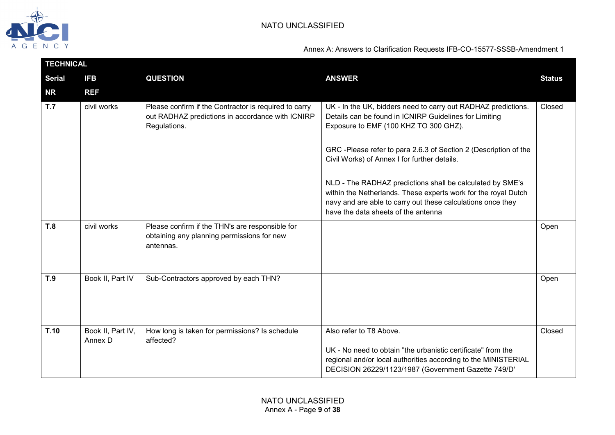

|               | <b>TECHNICAL</b>             |                                                                                                                           |                                                                                                                                                                                                                                                                                     |               |  |  |
|---------------|------------------------------|---------------------------------------------------------------------------------------------------------------------------|-------------------------------------------------------------------------------------------------------------------------------------------------------------------------------------------------------------------------------------------------------------------------------------|---------------|--|--|
| <b>Serial</b> | <b>IFB</b>                   | <b>QUESTION</b>                                                                                                           | <b>ANSWER</b>                                                                                                                                                                                                                                                                       | <b>Status</b> |  |  |
| <b>NR</b>     | <b>REF</b>                   |                                                                                                                           |                                                                                                                                                                                                                                                                                     |               |  |  |
| T.7           | civil works                  | Please confirm if the Contractor is required to carry<br>out RADHAZ predictions in accordance with ICNIRP<br>Regulations. | UK - In the UK, bidders need to carry out RADHAZ predictions.<br>Details can be found in ICNIRP Guidelines for Limiting<br>Exposure to EMF (100 KHZ TO 300 GHZ).<br>GRC-Please refer to para 2.6.3 of Section 2 (Description of the<br>Civil Works) of Annex I for further details. | Closed        |  |  |
|               |                              |                                                                                                                           | NLD - The RADHAZ predictions shall be calculated by SME's<br>within the Netherlands. These experts work for the royal Dutch<br>navy and are able to carry out these calculations once they<br>have the data sheets of the antenna                                                   |               |  |  |
| T.8           | civil works                  | Please confirm if the THN's are responsible for<br>obtaining any planning permissions for new<br>antennas.                |                                                                                                                                                                                                                                                                                     | Open          |  |  |
| T.9           | Book II, Part IV             | Sub-Contractors approved by each THN?                                                                                     |                                                                                                                                                                                                                                                                                     | Open          |  |  |
| T.10          | Book II, Part IV,<br>Annex D | How long is taken for permissions? Is schedule<br>affected?                                                               | Also refer to T8 Above.<br>UK - No need to obtain "the urbanistic certificate" from the<br>regional and/or local authorities according to the MINISTERIAL<br>DECISION 26229/1123/1987 (Government Gazette 749/D'                                                                    | Closed        |  |  |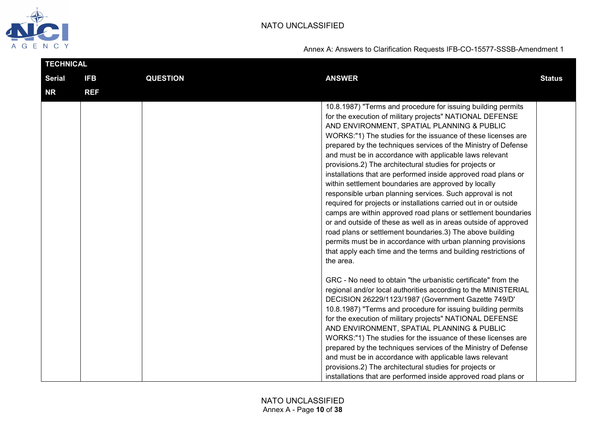

| TECHNICAL     |            |                 |                                                                                                                                                                                                                                                                                                                                                                                                                                                                                                                                                                                                                                                                                                                                                                                                                                                                                                                                                                                                                                            |               |
|---------------|------------|-----------------|--------------------------------------------------------------------------------------------------------------------------------------------------------------------------------------------------------------------------------------------------------------------------------------------------------------------------------------------------------------------------------------------------------------------------------------------------------------------------------------------------------------------------------------------------------------------------------------------------------------------------------------------------------------------------------------------------------------------------------------------------------------------------------------------------------------------------------------------------------------------------------------------------------------------------------------------------------------------------------------------------------------------------------------------|---------------|
| <b>Serial</b> | <b>IFB</b> | <b>QUESTION</b> | <b>ANSWER</b>                                                                                                                                                                                                                                                                                                                                                                                                                                                                                                                                                                                                                                                                                                                                                                                                                                                                                                                                                                                                                              | <b>Status</b> |
| <b>NR</b>     | <b>REF</b> |                 |                                                                                                                                                                                                                                                                                                                                                                                                                                                                                                                                                                                                                                                                                                                                                                                                                                                                                                                                                                                                                                            |               |
|               |            |                 | 10.8.1987) "Terms and procedure for issuing building permits<br>for the execution of military projects" NATIONAL DEFENSE<br>AND ENVIRONMENT, SPATIAL PLANNING & PUBLIC<br>WORKS:"1) The studies for the issuance of these licenses are<br>prepared by the techniques services of the Ministry of Defense<br>and must be in accordance with applicable laws relevant<br>provisions.2) The architectural studies for projects or<br>installations that are performed inside approved road plans or<br>within settlement boundaries are approved by locally<br>responsible urban planning services. Such approval is not<br>required for projects or installations carried out in or outside<br>camps are within approved road plans or settlement boundaries<br>or and outside of these as well as in areas outside of approved<br>road plans or settlement boundaries.3) The above building<br>permits must be in accordance with urban planning provisions<br>that apply each time and the terms and building restrictions of<br>the area. |               |
|               |            |                 | GRC - No need to obtain "the urbanistic certificate" from the<br>regional and/or local authorities according to the MINISTERIAL<br>DECISION 26229/1123/1987 (Government Gazette 749/D'<br>10.8.1987) "Terms and procedure for issuing building permits<br>for the execution of military projects" NATIONAL DEFENSE<br>AND ENVIRONMENT, SPATIAL PLANNING & PUBLIC<br>WORKS:"1) The studies for the issuance of these licenses are<br>prepared by the techniques services of the Ministry of Defense<br>and must be in accordance with applicable laws relevant<br>provisions.2) The architectural studies for projects or<br>installations that are performed inside approved road plans or                                                                                                                                                                                                                                                                                                                                                 |               |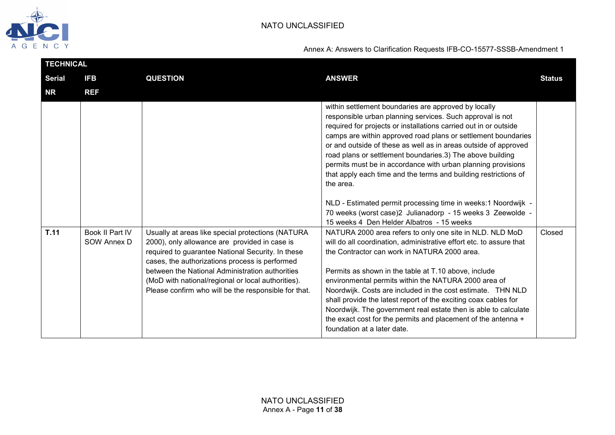

| <b>TECHNICAL</b> |                                |                                                                                                                                                                                                                                                                                                                                                                            |                                                                                                                                                                                                                                                                                                                                                                                                                                                                                                                                                                                                                                                                                                                    |               |  |
|------------------|--------------------------------|----------------------------------------------------------------------------------------------------------------------------------------------------------------------------------------------------------------------------------------------------------------------------------------------------------------------------------------------------------------------------|--------------------------------------------------------------------------------------------------------------------------------------------------------------------------------------------------------------------------------------------------------------------------------------------------------------------------------------------------------------------------------------------------------------------------------------------------------------------------------------------------------------------------------------------------------------------------------------------------------------------------------------------------------------------------------------------------------------------|---------------|--|
| <b>Serial</b>    | <b>IFB</b>                     | <b>QUESTION</b>                                                                                                                                                                                                                                                                                                                                                            | <b>ANSWER</b>                                                                                                                                                                                                                                                                                                                                                                                                                                                                                                                                                                                                                                                                                                      | <b>Status</b> |  |
| <b>NR</b>        | <b>REF</b>                     |                                                                                                                                                                                                                                                                                                                                                                            |                                                                                                                                                                                                                                                                                                                                                                                                                                                                                                                                                                                                                                                                                                                    |               |  |
|                  |                                |                                                                                                                                                                                                                                                                                                                                                                            | within settlement boundaries are approved by locally<br>responsible urban planning services. Such approval is not<br>required for projects or installations carried out in or outside<br>camps are within approved road plans or settlement boundaries<br>or and outside of these as well as in areas outside of approved<br>road plans or settlement boundaries.3) The above building<br>permits must be in accordance with urban planning provisions<br>that apply each time and the terms and building restrictions of<br>the area.<br>NLD - Estimated permit processing time in weeks:1 Noordwijk -<br>70 weeks (worst case)2 Julianadorp - 15 weeks 3 Zeewolde -<br>15 weeks 4 Den Helder Albatros - 15 weeks |               |  |
| T.11             | Book II Part IV<br>SOW Annex D | Usually at areas like special protections (NATURA<br>2000), only allowance are provided in case is<br>required to guarantee National Security. In these<br>cases, the authorizations process is performed<br>between the National Administration authorities<br>(MoD with national/regional or local authorities).<br>Please confirm who will be the responsible for that. | NATURA 2000 area refers to only one site in NLD. NLD MoD<br>will do all coordination, administrative effort etc. to assure that<br>the Contractor can work in NATURA 2000 area.<br>Permits as shown in the table at T.10 above, include<br>environmental permits within the NATURA 2000 area of<br>Noordwijk. Costs are included in the cost estimate. THN NLD<br>shall provide the latest report of the exciting coax cables for<br>Noordwijk. The government real estate then is able to calculate<br>the exact cost for the permits and placement of the antenna +<br>foundation at a later date.                                                                                                               | Closed        |  |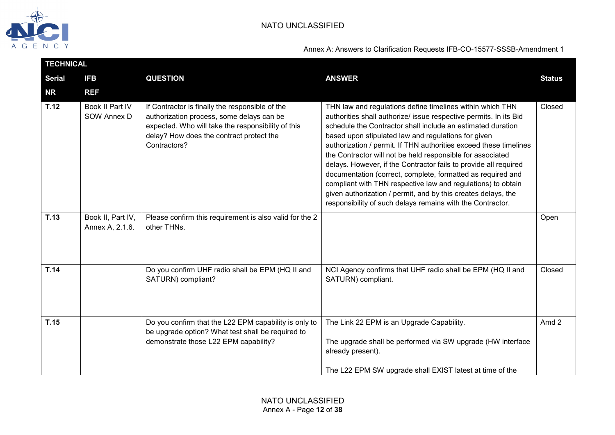

|               | <b>TECHNICAL</b>                     |                                                                                                                                                                                                                |                                                                                                                                                                                                                                                                                                                                                                                                                                                                                                                                                                                                                                                                                                                           |               |  |  |  |
|---------------|--------------------------------------|----------------------------------------------------------------------------------------------------------------------------------------------------------------------------------------------------------------|---------------------------------------------------------------------------------------------------------------------------------------------------------------------------------------------------------------------------------------------------------------------------------------------------------------------------------------------------------------------------------------------------------------------------------------------------------------------------------------------------------------------------------------------------------------------------------------------------------------------------------------------------------------------------------------------------------------------------|---------------|--|--|--|
| <b>Serial</b> | <b>IFB</b>                           | <b>QUESTION</b>                                                                                                                                                                                                | <b>ANSWER</b>                                                                                                                                                                                                                                                                                                                                                                                                                                                                                                                                                                                                                                                                                                             | <b>Status</b> |  |  |  |
| <b>NR</b>     | <b>REF</b>                           |                                                                                                                                                                                                                |                                                                                                                                                                                                                                                                                                                                                                                                                                                                                                                                                                                                                                                                                                                           |               |  |  |  |
| T.12          | Book II Part IV<br>SOW Annex D       | If Contractor is finally the responsible of the<br>authorization process, some delays can be<br>expected. Who will take the responsibility of this<br>delay? How does the contract protect the<br>Contractors? | THN law and regulations define timelines within which THN<br>authorities shall authorize/ issue respective permits. In its Bid<br>schedule the Contractor shall include an estimated duration<br>based upon stipulated law and regulations for given<br>authorization / permit. If THN authorities exceed these timelines<br>the Contractor will not be held responsible for associated<br>delays. However, if the Contractor fails to provide all required<br>documentation (correct, complete, formatted as required and<br>compliant with THN respective law and regulations) to obtain<br>given authorization / permit, and by this creates delays, the<br>responsibility of such delays remains with the Contractor. | Closed        |  |  |  |
| T.13          | Book II, Part IV,<br>Annex A, 2.1.6. | Please confirm this requirement is also valid for the 2<br>other THNs.                                                                                                                                         |                                                                                                                                                                                                                                                                                                                                                                                                                                                                                                                                                                                                                                                                                                                           | Open          |  |  |  |
| T.14          |                                      | Do you confirm UHF radio shall be EPM (HQ II and<br>SATURN) compliant?                                                                                                                                         | NCI Agency confirms that UHF radio shall be EPM (HQ II and<br>SATURN) compliant.                                                                                                                                                                                                                                                                                                                                                                                                                                                                                                                                                                                                                                          | Closed        |  |  |  |
| T.15          |                                      | Do you confirm that the L22 EPM capability is only to<br>be upgrade option? What test shall be required to<br>demonstrate those L22 EPM capability?                                                            | The Link 22 EPM is an Upgrade Capability.<br>The upgrade shall be performed via SW upgrade (HW interface<br>already present).<br>The L22 EPM SW upgrade shall EXIST latest at time of the                                                                                                                                                                                                                                                                                                                                                                                                                                                                                                                                 | Amd 2         |  |  |  |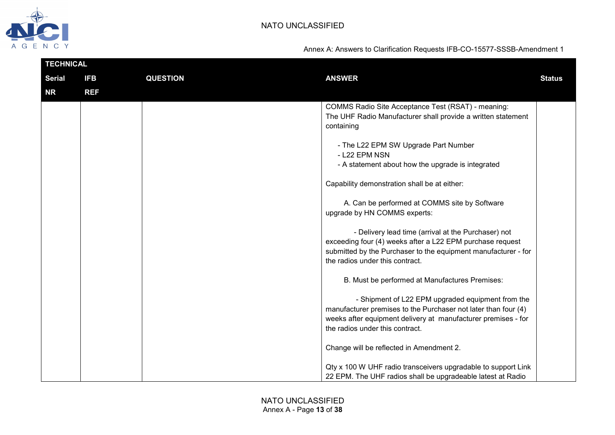

| <b>TECHNICAL</b> |            |                 |                                                                                                                                                                                                                         |               |
|------------------|------------|-----------------|-------------------------------------------------------------------------------------------------------------------------------------------------------------------------------------------------------------------------|---------------|
| <b>Serial</b>    | <b>IFB</b> | <b>QUESTION</b> | <b>ANSWER</b>                                                                                                                                                                                                           | <b>Status</b> |
| <b>NR</b>        | <b>REF</b> |                 |                                                                                                                                                                                                                         |               |
|                  |            |                 | COMMS Radio Site Acceptance Test (RSAT) - meaning:<br>The UHF Radio Manufacturer shall provide a written statement<br>containing                                                                                        |               |
|                  |            |                 | - The L22 EPM SW Upgrade Part Number<br>- L22 EPM NSN<br>- A statement about how the upgrade is integrated                                                                                                              |               |
|                  |            |                 | Capability demonstration shall be at either:                                                                                                                                                                            |               |
|                  |            |                 | A. Can be performed at COMMS site by Software<br>upgrade by HN COMMS experts:                                                                                                                                           |               |
|                  |            |                 | - Delivery lead time (arrival at the Purchaser) not<br>exceeding four (4) weeks after a L22 EPM purchase request<br>submitted by the Purchaser to the equipment manufacturer - for<br>the radios under this contract.   |               |
|                  |            |                 | B. Must be performed at Manufactures Premises:                                                                                                                                                                          |               |
|                  |            |                 | - Shipment of L22 EPM upgraded equipment from the<br>manufacturer premises to the Purchaser not later than four (4)<br>weeks after equipment delivery at manufacturer premises - for<br>the radios under this contract. |               |
|                  |            |                 | Change will be reflected in Amendment 2.                                                                                                                                                                                |               |
|                  |            |                 | Qty x 100 W UHF radio transceivers upgradable to support Link<br>22 EPM. The UHF radios shall be upgradeable latest at Radio                                                                                            |               |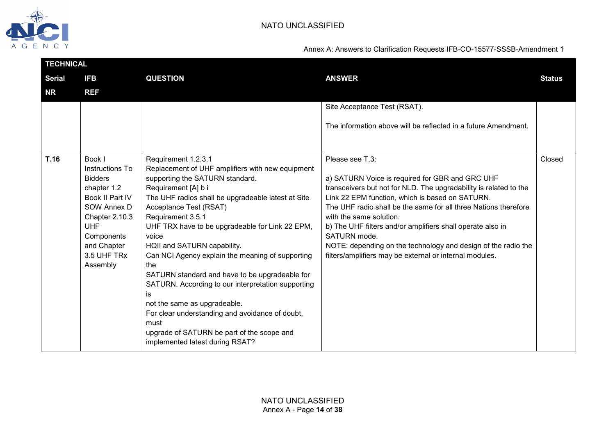

| <b>TECHNICAL</b> |                                                                                                                                                                            |                                                                                                                                                                                                                                                                                                                                                                                                                                                                                                                                                                                                                                                                 |                                                                                                                                                                                                                                                                                                                                                                                                                                                                                 |               |
|------------------|----------------------------------------------------------------------------------------------------------------------------------------------------------------------------|-----------------------------------------------------------------------------------------------------------------------------------------------------------------------------------------------------------------------------------------------------------------------------------------------------------------------------------------------------------------------------------------------------------------------------------------------------------------------------------------------------------------------------------------------------------------------------------------------------------------------------------------------------------------|---------------------------------------------------------------------------------------------------------------------------------------------------------------------------------------------------------------------------------------------------------------------------------------------------------------------------------------------------------------------------------------------------------------------------------------------------------------------------------|---------------|
| <b>Serial</b>    | <b>IFB</b>                                                                                                                                                                 | <b>QUESTION</b>                                                                                                                                                                                                                                                                                                                                                                                                                                                                                                                                                                                                                                                 | <b>ANSWER</b>                                                                                                                                                                                                                                                                                                                                                                                                                                                                   | <b>Status</b> |
| <b>NR</b>        | <b>REF</b>                                                                                                                                                                 |                                                                                                                                                                                                                                                                                                                                                                                                                                                                                                                                                                                                                                                                 |                                                                                                                                                                                                                                                                                                                                                                                                                                                                                 |               |
|                  |                                                                                                                                                                            |                                                                                                                                                                                                                                                                                                                                                                                                                                                                                                                                                                                                                                                                 | Site Acceptance Test (RSAT).                                                                                                                                                                                                                                                                                                                                                                                                                                                    |               |
|                  |                                                                                                                                                                            |                                                                                                                                                                                                                                                                                                                                                                                                                                                                                                                                                                                                                                                                 | The information above will be reflected in a future Amendment.                                                                                                                                                                                                                                                                                                                                                                                                                  |               |
| T.16             | Book I                                                                                                                                                                     | Requirement 1.2.3.1                                                                                                                                                                                                                                                                                                                                                                                                                                                                                                                                                                                                                                             | Please see T.3:                                                                                                                                                                                                                                                                                                                                                                                                                                                                 | Closed        |
|                  | Instructions To<br><b>Bidders</b><br>chapter 1.2<br>Book II Part IV<br>SOW Annex D<br>Chapter 2.10.3<br><b>UHF</b><br>Components<br>and Chapter<br>3.5 UHF TRx<br>Assembly | Replacement of UHF amplifiers with new equipment<br>supporting the SATURN standard.<br>Requirement [A] b i<br>The UHF radios shall be upgradeable latest at Site<br>Acceptance Test (RSAT)<br>Requirement 3.5.1<br>UHF TRX have to be upgradeable for Link 22 EPM,<br>voice<br>HQII and SATURN capability.<br>Can NCI Agency explain the meaning of supporting<br>the<br>SATURN standard and have to be upgradeable for<br>SATURN. According to our interpretation supporting<br>is<br>not the same as upgradeable.<br>For clear understanding and avoidance of doubt,<br>must<br>upgrade of SATURN be part of the scope and<br>implemented latest during RSAT? | a) SATURN Voice is required for GBR and GRC UHF<br>transceivers but not for NLD. The upgradability is related to the<br>Link 22 EPM function, which is based on SATURN.<br>The UHF radio shall be the same for all three Nations therefore<br>with the same solution.<br>b) The UHF filters and/or amplifiers shall operate also in<br>SATURN mode.<br>NOTE: depending on the technology and design of the radio the<br>filters/amplifiers may be external or internal modules. |               |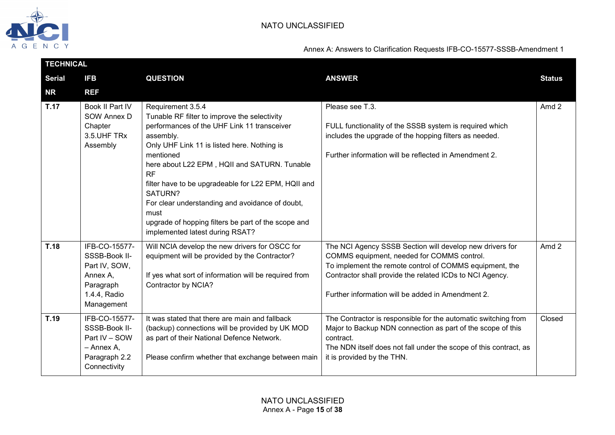

| <b>TECHNICAL</b> |                                                                                                        |                                                                                                                                                                                                                                                                                                                                                                                                                                                                        |                                                                                                                                                                                                                                                                                    |               |  |
|------------------|--------------------------------------------------------------------------------------------------------|------------------------------------------------------------------------------------------------------------------------------------------------------------------------------------------------------------------------------------------------------------------------------------------------------------------------------------------------------------------------------------------------------------------------------------------------------------------------|------------------------------------------------------------------------------------------------------------------------------------------------------------------------------------------------------------------------------------------------------------------------------------|---------------|--|
| <b>Serial</b>    | <b>IFB</b>                                                                                             | <b>QUESTION</b>                                                                                                                                                                                                                                                                                                                                                                                                                                                        | <b>ANSWER</b>                                                                                                                                                                                                                                                                      | <b>Status</b> |  |
| <b>NR</b>        | <b>REF</b>                                                                                             |                                                                                                                                                                                                                                                                                                                                                                                                                                                                        |                                                                                                                                                                                                                                                                                    |               |  |
| <b>T.17</b>      | Book II Part IV<br>SOW Annex D<br>Chapter<br>3.5. UHF TRx<br>Assembly                                  | Requirement 3.5.4<br>Tunable RF filter to improve the selectivity<br>performances of the UHF Link 11 transceiver<br>assembly.<br>Only UHF Link 11 is listed here. Nothing is<br>mentioned<br>here about L22 EPM, HQII and SATURN. Tunable<br>RF<br>filter have to be upgradeable for L22 EPM, HQII and<br>SATURN?<br>For clear understanding and avoidance of doubt,<br>must<br>upgrade of hopping filters be part of the scope and<br>implemented latest during RSAT? | Please see T.3.<br>FULL functionality of the SSSB system is required which<br>includes the upgrade of the hopping filters as needed.<br>Further information will be reflected in Amendment 2.                                                                                      | Amd 2         |  |
| T.18             | IFB-CO-15577-<br>SSSB-Book II-<br>Part IV, SOW,<br>Annex A,<br>Paragraph<br>1.4.4, Radio<br>Management | Will NCIA develop the new drivers for OSCC for<br>equipment will be provided by the Contractor?<br>If yes what sort of information will be required from<br>Contractor by NCIA?                                                                                                                                                                                                                                                                                        | The NCI Agency SSSB Section will develop new drivers for<br>COMMS equipment, needed for COMMS control.<br>To implement the remote control of COMMS equipment, the<br>Contractor shall provide the related ICDs to NCI Agency.<br>Further information will be added in Amendment 2. | Amd 2         |  |
| T.19             | IFB-CO-15577-<br>SSSB-Book II-<br>Part IV - SOW<br>- Annex A,<br>Paragraph 2.2<br>Connectivity         | It was stated that there are main and fallback<br>(backup) connections will be provided by UK MOD<br>as part of their National Defence Network.<br>Please confirm whether that exchange between main                                                                                                                                                                                                                                                                   | The Contractor is responsible for the automatic switching from<br>Major to Backup NDN connection as part of the scope of this<br>contract.<br>The NDN itself does not fall under the scope of this contract, as<br>it is provided by the THN.                                      | Closed        |  |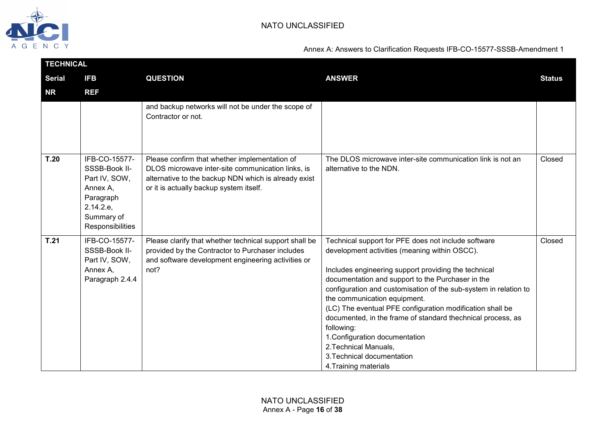

| <b>TECHNICAL</b> |                                                                                                                         |                                                                                                                                                                                                       |                                                                                                                                                                                                                                                                                                                                                                                                                                                                                                                                                                                   |               |
|------------------|-------------------------------------------------------------------------------------------------------------------------|-------------------------------------------------------------------------------------------------------------------------------------------------------------------------------------------------------|-----------------------------------------------------------------------------------------------------------------------------------------------------------------------------------------------------------------------------------------------------------------------------------------------------------------------------------------------------------------------------------------------------------------------------------------------------------------------------------------------------------------------------------------------------------------------------------|---------------|
| <b>Serial</b>    | <b>IFB</b>                                                                                                              | <b>QUESTION</b>                                                                                                                                                                                       | <b>ANSWER</b>                                                                                                                                                                                                                                                                                                                                                                                                                                                                                                                                                                     | <b>Status</b> |
| <b>NR</b>        | <b>REF</b>                                                                                                              |                                                                                                                                                                                                       |                                                                                                                                                                                                                                                                                                                                                                                                                                                                                                                                                                                   |               |
|                  |                                                                                                                         | and backup networks will not be under the scope of<br>Contractor or not.                                                                                                                              |                                                                                                                                                                                                                                                                                                                                                                                                                                                                                                                                                                                   |               |
| T.20             | IFB-CO-15577-<br>SSSB-Book II-<br>Part IV, SOW,<br>Annex A,<br>Paragraph<br>2.14.2.e,<br>Summary of<br>Responsibilities | Please confirm that whether implementation of<br>DLOS microwave inter-site communication links, is<br>alternative to the backup NDN which is already exist<br>or it is actually backup system itself. | The DLOS microwave inter-site communication link is not an<br>alternative to the NDN.                                                                                                                                                                                                                                                                                                                                                                                                                                                                                             | Closed        |
| T.21             | IFB-CO-15577-<br>SSSB-Book II-<br>Part IV, SOW,<br>Annex A,<br>Paragraph 2.4.4                                          | Please clarify that whether technical support shall be<br>provided by the Contractor to Purchaser includes<br>and software development engineering activities or<br>not?                              | Technical support for PFE does not include software<br>development activities (meaning within OSCC).<br>Includes engineering support providing the technical<br>documentation and support to the Purchaser in the<br>configuration and customisation of the sub-system in relation to<br>the communication equipment.<br>(LC) The eventual PFE configuration modification shall be<br>documented, in the frame of standard thechnical process, as<br>following:<br>1. Configuration documentation<br>2. Technical Manuals,<br>3. Technical documentation<br>4. Training materials | Closed        |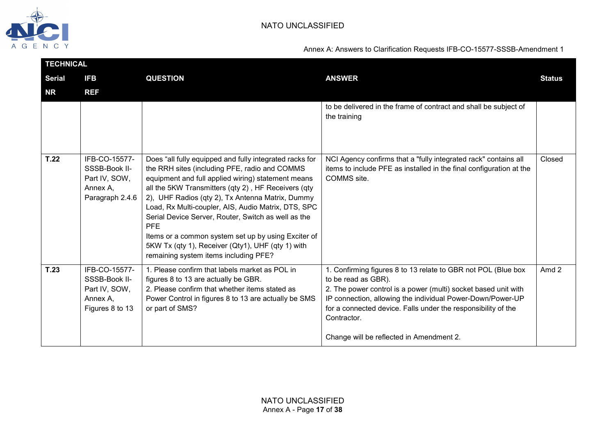

| <b>TECHNICAL</b> |                                                                                |                                                                                                                                                                                                                                                                                                                                                                                                                                                                                                                                                            |                                                                                                                                                                                                                                                                                                                                                  |               |
|------------------|--------------------------------------------------------------------------------|------------------------------------------------------------------------------------------------------------------------------------------------------------------------------------------------------------------------------------------------------------------------------------------------------------------------------------------------------------------------------------------------------------------------------------------------------------------------------------------------------------------------------------------------------------|--------------------------------------------------------------------------------------------------------------------------------------------------------------------------------------------------------------------------------------------------------------------------------------------------------------------------------------------------|---------------|
| <b>Serial</b>    | <b>IFB</b>                                                                     | <b>QUESTION</b>                                                                                                                                                                                                                                                                                                                                                                                                                                                                                                                                            | <b>ANSWER</b>                                                                                                                                                                                                                                                                                                                                    | <b>Status</b> |
| <b>NR</b>        | <b>REF</b>                                                                     |                                                                                                                                                                                                                                                                                                                                                                                                                                                                                                                                                            |                                                                                                                                                                                                                                                                                                                                                  |               |
|                  |                                                                                |                                                                                                                                                                                                                                                                                                                                                                                                                                                                                                                                                            | to be delivered in the frame of contract and shall be subject of<br>the training                                                                                                                                                                                                                                                                 |               |
| T.22             | IFB-CO-15577-<br>SSSB-Book II-<br>Part IV, SOW,<br>Annex A,<br>Paragraph 2.4.6 | Does "all fully equipped and fully integrated racks for<br>the RRH sites (including PFE, radio and COMMS<br>equipment and full applied wiring) statement means<br>all the 5KW Transmitters (qty 2), HF Receivers (qty<br>2), UHF Radios (qty 2), Tx Antenna Matrix, Dummy<br>Load, Rx Multi-coupler, AIS, Audio Matrix, DTS, SPC<br>Serial Device Server, Router, Switch as well as the<br><b>PFE</b><br>Items or a common system set up by using Exciter of<br>5KW Tx (qty 1), Receiver (Qty1), UHF (qty 1) with<br>remaining system items including PFE? | NCI Agency confirms that a "fully integrated rack" contains all<br>items to include PFE as installed in the final configuration at the<br>COMMS site.                                                                                                                                                                                            | Closed        |
| T.23             | IFB-CO-15577-<br>SSSB-Book II-<br>Part IV, SOW,<br>Annex A,<br>Figures 8 to 13 | 1. Please confirm that labels market as POL in<br>figures 8 to 13 are actually be GBR.<br>2. Please confirm that whether items stated as<br>Power Control in figures 8 to 13 are actually be SMS<br>or part of SMS?                                                                                                                                                                                                                                                                                                                                        | 1. Confirming figures 8 to 13 relate to GBR not POL (Blue box<br>to be read as GBR).<br>2. The power control is a power (multi) socket based unit with<br>IP connection, allowing the individual Power-Down/Power-UP<br>for a connected device. Falls under the responsibility of the<br>Contractor.<br>Change will be reflected in Amendment 2. | Amd 2         |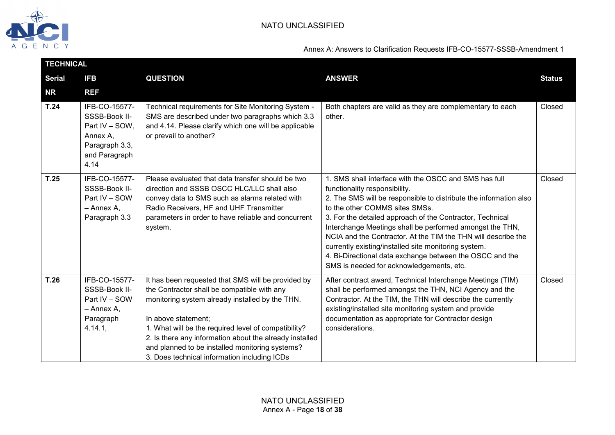

| <b>TECHNICAL</b> |                                                                                                         |                                                                                                                                                                                                                                                                                                                                                                                                   |                                                                                                                                                                                                                                                                                                                                                                                                                                                                                                                                                         |               |
|------------------|---------------------------------------------------------------------------------------------------------|---------------------------------------------------------------------------------------------------------------------------------------------------------------------------------------------------------------------------------------------------------------------------------------------------------------------------------------------------------------------------------------------------|---------------------------------------------------------------------------------------------------------------------------------------------------------------------------------------------------------------------------------------------------------------------------------------------------------------------------------------------------------------------------------------------------------------------------------------------------------------------------------------------------------------------------------------------------------|---------------|
| <b>Serial</b>    | <b>IFB</b>                                                                                              | <b>QUESTION</b>                                                                                                                                                                                                                                                                                                                                                                                   | <b>ANSWER</b>                                                                                                                                                                                                                                                                                                                                                                                                                                                                                                                                           | <b>Status</b> |
| <b>NR</b>        | <b>REF</b>                                                                                              |                                                                                                                                                                                                                                                                                                                                                                                                   |                                                                                                                                                                                                                                                                                                                                                                                                                                                                                                                                                         |               |
| T.24             | IFB-CO-15577-<br>SSSB-Book II-<br>Part IV - SOW,<br>Annex A,<br>Paragraph 3.3,<br>and Paragraph<br>4.14 | Technical requirements for Site Monitoring System -<br>SMS are described under two paragraphs which 3.3<br>and 4.14. Please clarify which one will be applicable<br>or prevail to another?                                                                                                                                                                                                        | Both chapters are valid as they are complementary to each<br>other.                                                                                                                                                                                                                                                                                                                                                                                                                                                                                     | Closed        |
| T.25             | IFB-CO-15577-<br>SSSB-Book II-<br>Part IV - SOW<br>- Annex A,<br>Paragraph 3.3                          | Please evaluated that data transfer should be two<br>direction and SSSB OSCC HLC/LLC shall also<br>convey data to SMS such as alarms related with<br>Radio Receivers, HF and UHF Transmitter<br>parameters in order to have reliable and concurrent<br>system.                                                                                                                                    | 1. SMS shall interface with the OSCC and SMS has full<br>functionality responsibility.<br>2. The SMS will be responsible to distribute the information also<br>to the other COMMS sites SMSs.<br>3. For the detailed approach of the Contractor, Technical<br>Interchange Meetings shall be performed amongst the THN,<br>NCIA and the Contractor. At the TIM the THN will describe the<br>currently existing/installed site monitoring system.<br>4. Bi-Directional data exchange between the OSCC and the<br>SMS is needed for acknowledgements, etc. | Closed        |
| T.26             | IFB-CO-15577-<br>SSSB-Book II-<br>Part IV - SOW<br>- Annex A,<br>Paragraph<br>4.14.1,                   | It has been requested that SMS will be provided by<br>the Contractor shall be compatible with any<br>monitoring system already installed by the THN.<br>In above statement;<br>1. What will be the required level of compatibility?<br>2. Is there any information about the already installed<br>and planned to be installed monitoring systems?<br>3. Does technical information including ICDs | After contract award, Technical Interchange Meetings (TIM)<br>shall be performed amongst the THN, NCI Agency and the<br>Contractor. At the TIM, the THN will describe the currently<br>existing/installed site monitoring system and provide<br>documentation as appropriate for Contractor design<br>considerations.                                                                                                                                                                                                                                   | Closed        |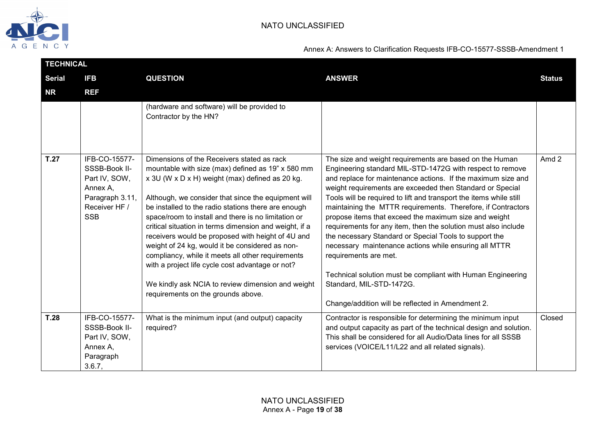

|               | <b>TECHNICAL</b>                                                                                              |                                                                                                                                                                                                                                                                                                                                                                                                                                                                                                                                                                                                                                                                                               |                                                                                                                                                                                                                                                                                                                                                                                                                                                                                                                                                                                                                                                                                                                                                                                                                |               |  |  |
|---------------|---------------------------------------------------------------------------------------------------------------|-----------------------------------------------------------------------------------------------------------------------------------------------------------------------------------------------------------------------------------------------------------------------------------------------------------------------------------------------------------------------------------------------------------------------------------------------------------------------------------------------------------------------------------------------------------------------------------------------------------------------------------------------------------------------------------------------|----------------------------------------------------------------------------------------------------------------------------------------------------------------------------------------------------------------------------------------------------------------------------------------------------------------------------------------------------------------------------------------------------------------------------------------------------------------------------------------------------------------------------------------------------------------------------------------------------------------------------------------------------------------------------------------------------------------------------------------------------------------------------------------------------------------|---------------|--|--|
| <b>Serial</b> | <b>IFB</b>                                                                                                    | <b>QUESTION</b>                                                                                                                                                                                                                                                                                                                                                                                                                                                                                                                                                                                                                                                                               | <b>ANSWER</b>                                                                                                                                                                                                                                                                                                                                                                                                                                                                                                                                                                                                                                                                                                                                                                                                  | <b>Status</b> |  |  |
| <b>NR</b>     | <b>REF</b>                                                                                                    |                                                                                                                                                                                                                                                                                                                                                                                                                                                                                                                                                                                                                                                                                               |                                                                                                                                                                                                                                                                                                                                                                                                                                                                                                                                                                                                                                                                                                                                                                                                                |               |  |  |
|               |                                                                                                               | (hardware and software) will be provided to<br>Contractor by the HN?                                                                                                                                                                                                                                                                                                                                                                                                                                                                                                                                                                                                                          |                                                                                                                                                                                                                                                                                                                                                                                                                                                                                                                                                                                                                                                                                                                                                                                                                |               |  |  |
| T.27          | IFB-CO-15577-<br>SSSB-Book II-<br>Part IV, SOW,<br>Annex A,<br>Paragraph 3.11,<br>Receiver HF /<br><b>SSB</b> | Dimensions of the Receivers stated as rack<br>mountable with size (max) defined as 19" x 580 mm<br>x 3U (W x D x H) weight (max) defined as 20 kg.<br>Although, we consider that since the equipment will<br>be installed to the radio stations there are enough<br>space/room to install and there is no limitation or<br>critical situation in terms dimension and weight, if a<br>receivers would be proposed with height of 4U and<br>weight of 24 kg, would it be considered as non-<br>compliancy, while it meets all other requirements<br>with a project life cycle cost advantage or not?<br>We kindly ask NCIA to review dimension and weight<br>requirements on the grounds above. | The size and weight requirements are based on the Human<br>Engineering standard MIL-STD-1472G with respect to remove<br>and replace for maintenance actions. If the maximum size and<br>weight requirements are exceeded then Standard or Special<br>Tools will be required to lift and transport the items while still<br>maintaining the MTTR requirements. Therefore, if Contractors<br>propose items that exceed the maximum size and weight<br>requirements for any item, then the solution must also include<br>the necessary Standard or Special Tools to support the<br>necessary maintenance actions while ensuring all MTTR<br>requirements are met.<br>Technical solution must be compliant with Human Engineering<br>Standard, MIL-STD-1472G.<br>Change/addition will be reflected in Amendment 2. | Amd 2         |  |  |
| T.28          | IFB-CO-15577-<br>SSSB-Book II-<br>Part IV, SOW,<br>Annex A,<br>Paragraph<br>3.6.7,                            | What is the minimum input (and output) capacity<br>required?                                                                                                                                                                                                                                                                                                                                                                                                                                                                                                                                                                                                                                  | Contractor is responsible for determining the minimum input<br>and output capacity as part of the technical design and solution.<br>This shall be considered for all Audio/Data lines for all SSSB<br>services (VOICE/L11/L22 and all related signals).                                                                                                                                                                                                                                                                                                                                                                                                                                                                                                                                                        | Closed        |  |  |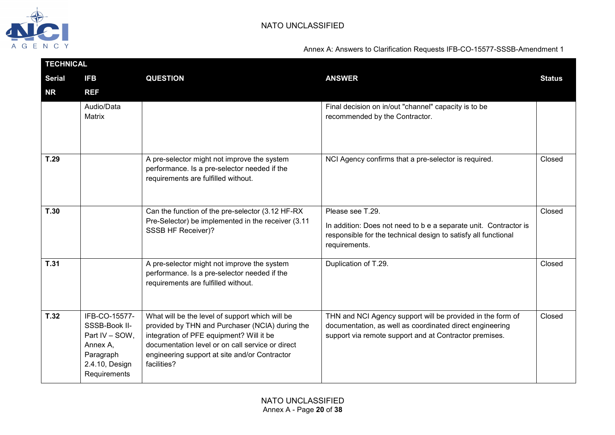

| <b>TECHNICAL</b> |                                                                                                             |                                                                                                                                                                                                                                                                    |                                                                                                                                                                                  |               |  |  |
|------------------|-------------------------------------------------------------------------------------------------------------|--------------------------------------------------------------------------------------------------------------------------------------------------------------------------------------------------------------------------------------------------------------------|----------------------------------------------------------------------------------------------------------------------------------------------------------------------------------|---------------|--|--|
| <b>Serial</b>    | <b>IFB</b>                                                                                                  | <b>QUESTION</b>                                                                                                                                                                                                                                                    | <b>ANSWER</b>                                                                                                                                                                    | <b>Status</b> |  |  |
| <b>NR</b>        | <b>REF</b>                                                                                                  |                                                                                                                                                                                                                                                                    |                                                                                                                                                                                  |               |  |  |
|                  | Audio/Data<br>Matrix                                                                                        |                                                                                                                                                                                                                                                                    | Final decision on in/out "channel" capacity is to be<br>recommended by the Contractor.                                                                                           |               |  |  |
| T.29             |                                                                                                             | A pre-selector might not improve the system<br>performance. Is a pre-selector needed if the<br>requirements are fulfilled without.                                                                                                                                 | NCI Agency confirms that a pre-selector is required.                                                                                                                             | Closed        |  |  |
| T.30             |                                                                                                             | Can the function of the pre-selector (3.12 HF-RX<br>Pre-Selector) be implemented in the receiver (3.11<br>SSSB HF Receiver)?                                                                                                                                       | Please see T.29.<br>In addition: Does not need to b e a separate unit. Contractor is<br>responsible for the technical design to satisfy all functional<br>requirements.          | Closed        |  |  |
| T.31             |                                                                                                             | A pre-selector might not improve the system<br>performance. Is a pre-selector needed if the<br>requirements are fulfilled without.                                                                                                                                 | Duplication of T.29.                                                                                                                                                             | Closed        |  |  |
| T.32             | IFB-CO-15577-<br>SSSB-Book II-<br>Part IV - SOW,<br>Annex A,<br>Paragraph<br>2.4.10, Design<br>Requirements | What will be the level of support which will be<br>provided by THN and Purchaser (NCIA) during the<br>integration of PFE equipment? Will it be<br>documentation level or on call service or direct<br>engineering support at site and/or Contractor<br>facilities? | THN and NCI Agency support will be provided in the form of<br>documentation, as well as coordinated direct engineering<br>support via remote support and at Contractor premises. | Closed        |  |  |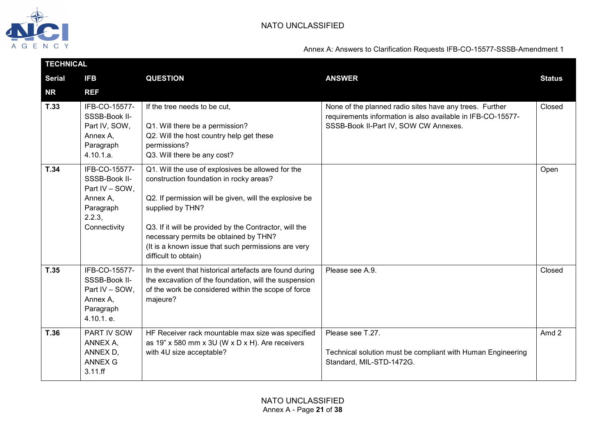

|               | <b>TECHNICAL</b>                                                                                    |                                                                                                                                                                                                                                                                                                                                                              |                                                                                                                                                                 |               |  |
|---------------|-----------------------------------------------------------------------------------------------------|--------------------------------------------------------------------------------------------------------------------------------------------------------------------------------------------------------------------------------------------------------------------------------------------------------------------------------------------------------------|-----------------------------------------------------------------------------------------------------------------------------------------------------------------|---------------|--|
| <b>Serial</b> | <b>IFB</b>                                                                                          | <b>QUESTION</b>                                                                                                                                                                                                                                                                                                                                              | <b>ANSWER</b>                                                                                                                                                   | <b>Status</b> |  |
| <b>NR</b>     | <b>REF</b>                                                                                          |                                                                                                                                                                                                                                                                                                                                                              |                                                                                                                                                                 |               |  |
| T.33          | IFB-CO-15577-<br>SSSB-Book II-<br>Part IV, SOW,<br>Annex A,<br>Paragraph<br>4.10.1.a.               | If the tree needs to be cut,<br>Q1. Will there be a permission?<br>Q2. Will the host country help get these<br>permissions?<br>Q3. Will there be any cost?                                                                                                                                                                                                   | None of the planned radio sites have any trees. Further<br>requirements information is also available in IFB-CO-15577-<br>SSSB-Book II-Part IV, SOW CW Annexes. | Closed        |  |
| T.34          | IFB-CO-15577-<br>SSSB-Book II-<br>Part IV - SOW,<br>Annex A,<br>Paragraph<br>2.2.3,<br>Connectivity | Q1. Will the use of explosives be allowed for the<br>construction foundation in rocky areas?<br>Q2. If permission will be given, will the explosive be<br>supplied by THN?<br>Q3. If it will be provided by the Contractor, will the<br>necessary permits be obtained by THN?<br>(It is a known issue that such permissions are very<br>difficult to obtain) |                                                                                                                                                                 | Open          |  |
| T.35          | IFB-CO-15577-<br>SSSB-Book II-<br>Part IV - SOW,<br>Annex A,<br>Paragraph<br>4.10.1. e.             | In the event that historical artefacts are found during<br>the excavation of the foundation, will the suspension<br>of the work be considered within the scope of force<br>majeure?                                                                                                                                                                          | Please see A.9.                                                                                                                                                 | Closed        |  |
| T.36          | PART IV SOW<br>ANNEX A,<br>ANNEX D,<br><b>ANNEX G</b><br>3.11.ff                                    | HF Receiver rack mountable max size was specified<br>as 19" x 580 mm x 3U (W x D x H). Are receivers<br>with 4U size acceptable?                                                                                                                                                                                                                             | Please see T.27.<br>Technical solution must be compliant with Human Engineering<br>Standard, MIL-STD-1472G.                                                     | Amd 2         |  |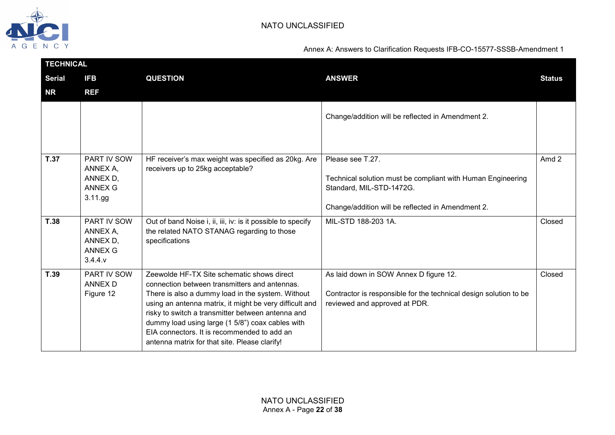

|               | <b>TECHNICAL</b>                                                    |                                                                                                                                                                                                                                                                                                                                                                                                                      |                                                                                                                                                                  |               |  |
|---------------|---------------------------------------------------------------------|----------------------------------------------------------------------------------------------------------------------------------------------------------------------------------------------------------------------------------------------------------------------------------------------------------------------------------------------------------------------------------------------------------------------|------------------------------------------------------------------------------------------------------------------------------------------------------------------|---------------|--|
| <b>Serial</b> | <b>IFB</b>                                                          | <b>QUESTION</b>                                                                                                                                                                                                                                                                                                                                                                                                      | <b>ANSWER</b>                                                                                                                                                    | <b>Status</b> |  |
| <b>NR</b>     | <b>REF</b>                                                          |                                                                                                                                                                                                                                                                                                                                                                                                                      |                                                                                                                                                                  |               |  |
|               |                                                                     |                                                                                                                                                                                                                                                                                                                                                                                                                      | Change/addition will be reflected in Amendment 2.                                                                                                                |               |  |
| <b>T.37</b>   | PART IV SOW<br>ANNEX A,<br>ANNEX D,<br><b>ANNEX G</b><br>$3.11$ .gg | HF receiver's max weight was specified as 20kg. Are<br>receivers up to 25kg acceptable?                                                                                                                                                                                                                                                                                                                              | Please see T.27.<br>Technical solution must be compliant with Human Engineering<br>Standard, MIL-STD-1472G.<br>Change/addition will be reflected in Amendment 2. | Amd 2         |  |
| <b>T.38</b>   | PART IV SOW<br>ANNEX A,<br>ANNEX D,<br><b>ANNEX G</b><br>3.4.4.9    | Out of band Noise i, ii, iii, iv: is it possible to specify<br>the related NATO STANAG regarding to those<br>specifications                                                                                                                                                                                                                                                                                          | MIL-STD 188-203 1A.                                                                                                                                              | Closed        |  |
| T.39          | PART IV SOW<br><b>ANNEX D</b><br>Figure 12                          | Zeewolde HF-TX Site schematic shows direct<br>connection between transmitters and antennas.<br>There is also a dummy load in the system. Without<br>using an antenna matrix, it might be very difficult and<br>risky to switch a transmitter between antenna and<br>dummy load using large (1 5/8") coax cables with<br>EIA connectors. It is recommended to add an<br>antenna matrix for that site. Please clarify! | As laid down in SOW Annex D figure 12.<br>Contractor is responsible for the technical design solution to be<br>reviewed and approved at PDR.                     | Closed        |  |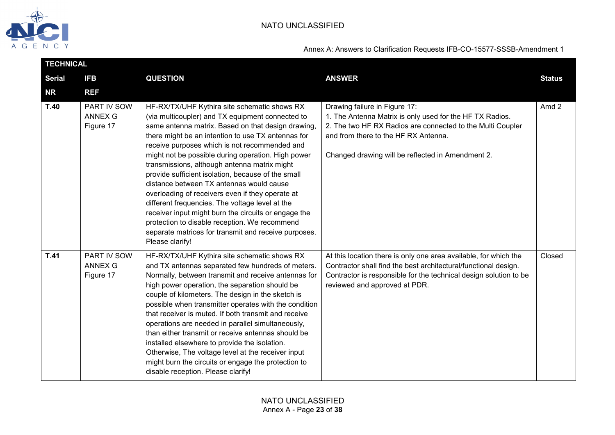

| <b>TECHNICAL</b> |                                            |                                                                                                                                                                                                                                                                                                                                                                                                                                                                                                                                                                                                                                                                                                                                                                  |                                                                                                                                                                                                                                                      |               |
|------------------|--------------------------------------------|------------------------------------------------------------------------------------------------------------------------------------------------------------------------------------------------------------------------------------------------------------------------------------------------------------------------------------------------------------------------------------------------------------------------------------------------------------------------------------------------------------------------------------------------------------------------------------------------------------------------------------------------------------------------------------------------------------------------------------------------------------------|------------------------------------------------------------------------------------------------------------------------------------------------------------------------------------------------------------------------------------------------------|---------------|
| <b>Serial</b>    | <b>IFB</b>                                 | <b>QUESTION</b>                                                                                                                                                                                                                                                                                                                                                                                                                                                                                                                                                                                                                                                                                                                                                  | <b>ANSWER</b>                                                                                                                                                                                                                                        | <b>Status</b> |
| <b>NR</b>        | <b>REF</b>                                 |                                                                                                                                                                                                                                                                                                                                                                                                                                                                                                                                                                                                                                                                                                                                                                  |                                                                                                                                                                                                                                                      |               |
| T.40             | PART IV SOW<br><b>ANNEX G</b><br>Figure 17 | HF-RX/TX/UHF Kythira site schematic shows RX<br>(via multicoupler) and TX equipment connected to<br>same antenna matrix. Based on that design drawing,<br>there might be an intention to use TX antennas for<br>receive purposes which is not recommended and<br>might not be possible during operation. High power<br>transmissions, although antenna matrix might<br>provide sufficient isolation, because of the small<br>distance between TX antennas would cause<br>overloading of receivers even if they operate at<br>different frequencies. The voltage level at the<br>receiver input might burn the circuits or engage the<br>protection to disable reception. We recommend<br>separate matrices for transmit and receive purposes.<br>Please clarify! | Drawing failure in Figure 17:<br>1. The Antenna Matrix is only used for the HF TX Radios.<br>2. The two HF RX Radios are connected to the Multi Coupler<br>and from there to the HF RX Antenna.<br>Changed drawing will be reflected in Amendment 2. | Amd 2         |
| <b>T.41</b>      | PART IV SOW<br><b>ANNEX G</b><br>Figure 17 | HF-RX/TX/UHF Kythira site schematic shows RX<br>and TX antennas separated few hundreds of meters.<br>Normally, between transmit and receive antennas for<br>high power operation, the separation should be<br>couple of kilometers. The design in the sketch is<br>possible when transmitter operates with the condition<br>that receiver is muted. If both transmit and receive<br>operations are needed in parallel simultaneously,<br>than either transmit or receive antennas should be<br>installed elsewhere to provide the isolation.<br>Otherwise, The voltage level at the receiver input<br>might burn the circuits or engage the protection to<br>disable reception. Please clarify!                                                                  | At this location there is only one area available, for which the<br>Contractor shall find the best architectural/functional design.<br>Contractor is responsible for the technical design solution to be<br>reviewed and approved at PDR.            | Closed        |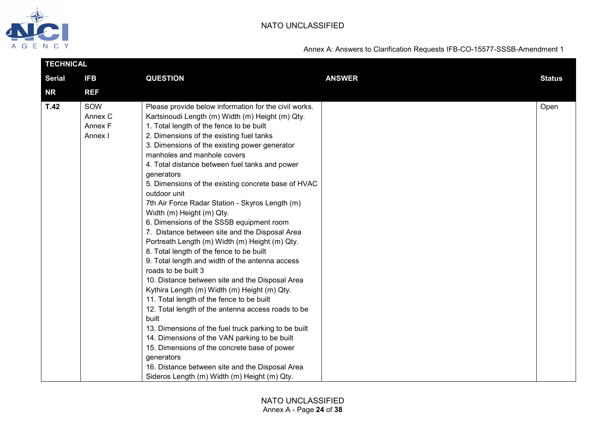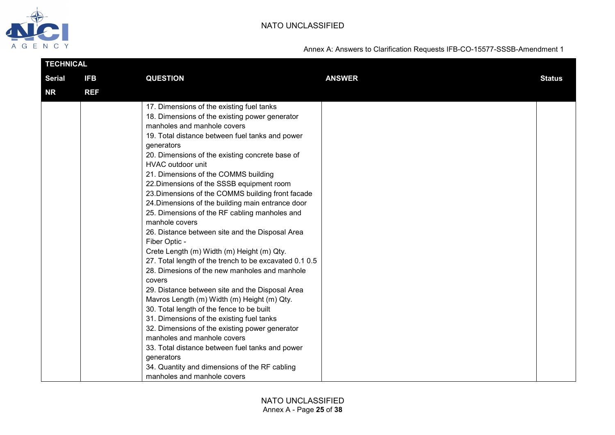

| <b>TECHNICAL</b> |            |                                                                                                                                                                                                                                                                                                                                                                                                                                                                                                                                                                                                                                                                                                                                                                                                                                                                                                                                                                                                                                                                                                                                                                                                                   |               |               |
|------------------|------------|-------------------------------------------------------------------------------------------------------------------------------------------------------------------------------------------------------------------------------------------------------------------------------------------------------------------------------------------------------------------------------------------------------------------------------------------------------------------------------------------------------------------------------------------------------------------------------------------------------------------------------------------------------------------------------------------------------------------------------------------------------------------------------------------------------------------------------------------------------------------------------------------------------------------------------------------------------------------------------------------------------------------------------------------------------------------------------------------------------------------------------------------------------------------------------------------------------------------|---------------|---------------|
| <b>Serial</b>    | <b>IFB</b> | <b>QUESTION</b>                                                                                                                                                                                                                                                                                                                                                                                                                                                                                                                                                                                                                                                                                                                                                                                                                                                                                                                                                                                                                                                                                                                                                                                                   | <b>ANSWER</b> | <b>Status</b> |
| <b>NR</b>        | <b>REF</b> |                                                                                                                                                                                                                                                                                                                                                                                                                                                                                                                                                                                                                                                                                                                                                                                                                                                                                                                                                                                                                                                                                                                                                                                                                   |               |               |
|                  |            | 17. Dimensions of the existing fuel tanks<br>18. Dimensions of the existing power generator<br>manholes and manhole covers<br>19. Total distance between fuel tanks and power<br>generators<br>20. Dimensions of the existing concrete base of<br><b>HVAC outdoor unit</b><br>21. Dimensions of the COMMS building<br>22. Dimensions of the SSSB equipment room<br>23. Dimensions of the COMMS building front facade<br>24. Dimensions of the building main entrance door<br>25. Dimensions of the RF cabling manholes and<br>manhole covers<br>26. Distance between site and the Disposal Area<br>Fiber Optic -<br>Crete Length (m) Width (m) Height (m) Qty.<br>27. Total length of the trench to be excavated 0.1 0.5<br>28. Dimesions of the new manholes and manhole<br>covers<br>29. Distance between site and the Disposal Area<br>Mavros Length (m) Width (m) Height (m) Qty.<br>30. Total length of the fence to be built<br>31. Dimensions of the existing fuel tanks<br>32. Dimensions of the existing power generator<br>manholes and manhole covers<br>33. Total distance between fuel tanks and power<br>generators<br>34. Quantity and dimensions of the RF cabling<br>manholes and manhole covers |               |               |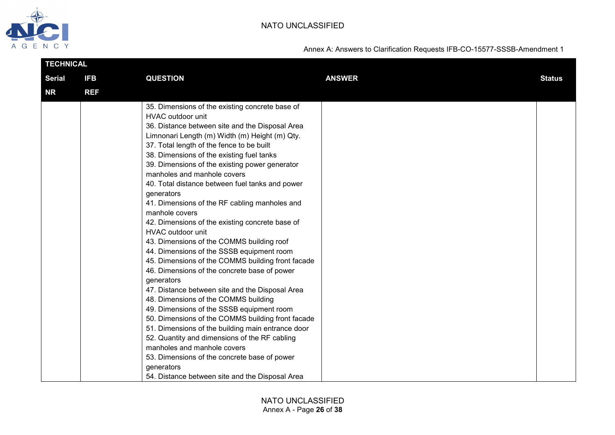

| <b>TECHNICAL</b> |            |                                                                                                                                                                                                                                                                                                                                                                                                                                                                                                                                                                                                                                                                                                                                                                                                                                                                                                                                                                                                                                                                                                                                                                                                                                  |               |               |
|------------------|------------|----------------------------------------------------------------------------------------------------------------------------------------------------------------------------------------------------------------------------------------------------------------------------------------------------------------------------------------------------------------------------------------------------------------------------------------------------------------------------------------------------------------------------------------------------------------------------------------------------------------------------------------------------------------------------------------------------------------------------------------------------------------------------------------------------------------------------------------------------------------------------------------------------------------------------------------------------------------------------------------------------------------------------------------------------------------------------------------------------------------------------------------------------------------------------------------------------------------------------------|---------------|---------------|
| <b>Serial</b>    | <b>IFB</b> | <b>QUESTION</b>                                                                                                                                                                                                                                                                                                                                                                                                                                                                                                                                                                                                                                                                                                                                                                                                                                                                                                                                                                                                                                                                                                                                                                                                                  | <b>ANSWER</b> | <b>Status</b> |
| NR               | <b>REF</b> |                                                                                                                                                                                                                                                                                                                                                                                                                                                                                                                                                                                                                                                                                                                                                                                                                                                                                                                                                                                                                                                                                                                                                                                                                                  |               |               |
|                  |            | 35. Dimensions of the existing concrete base of<br>HVAC outdoor unit<br>36. Distance between site and the Disposal Area<br>Limnonari Length (m) Width (m) Height (m) Qty.<br>37. Total length of the fence to be built<br>38. Dimensions of the existing fuel tanks<br>39. Dimensions of the existing power generator<br>manholes and manhole covers<br>40. Total distance between fuel tanks and power<br>generators<br>41. Dimensions of the RF cabling manholes and<br>manhole covers<br>42. Dimensions of the existing concrete base of<br>HVAC outdoor unit<br>43. Dimensions of the COMMS building roof<br>44. Dimensions of the SSSB equipment room<br>45. Dimensions of the COMMS building front facade<br>46. Dimensions of the concrete base of power<br>generators<br>47. Distance between site and the Disposal Area<br>48. Dimensions of the COMMS building<br>49. Dimensions of the SSSB equipment room<br>50. Dimensions of the COMMS building front facade<br>51. Dimensions of the building main entrance door<br>52. Quantity and dimensions of the RF cabling<br>manholes and manhole covers<br>53. Dimensions of the concrete base of power<br>generators<br>54. Distance between site and the Disposal Area |               |               |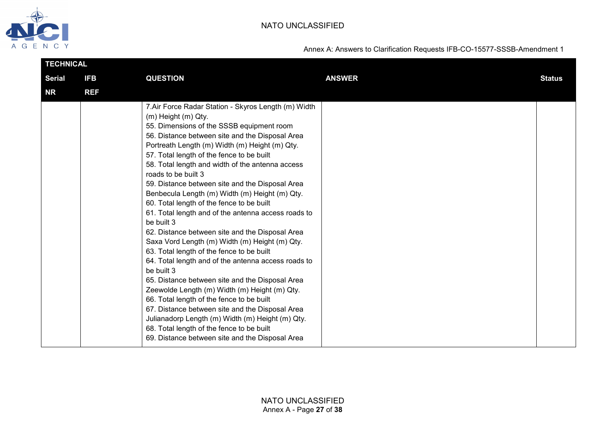

| <b>TECHNICAL</b> |            |                                                                                                                                                                                                                                                                                                                                                                                                                                                                                                                                                                                                                                                                                                                                                                                                                                                                                                                                                                                                                                                                                                                                                             |               |               |
|------------------|------------|-------------------------------------------------------------------------------------------------------------------------------------------------------------------------------------------------------------------------------------------------------------------------------------------------------------------------------------------------------------------------------------------------------------------------------------------------------------------------------------------------------------------------------------------------------------------------------------------------------------------------------------------------------------------------------------------------------------------------------------------------------------------------------------------------------------------------------------------------------------------------------------------------------------------------------------------------------------------------------------------------------------------------------------------------------------------------------------------------------------------------------------------------------------|---------------|---------------|
| <b>Serial</b>    | <b>IFB</b> | <b>QUESTION</b>                                                                                                                                                                                                                                                                                                                                                                                                                                                                                                                                                                                                                                                                                                                                                                                                                                                                                                                                                                                                                                                                                                                                             | <b>ANSWER</b> | <b>Status</b> |
| <b>NR</b>        | <b>REF</b> |                                                                                                                                                                                                                                                                                                                                                                                                                                                                                                                                                                                                                                                                                                                                                                                                                                                                                                                                                                                                                                                                                                                                                             |               |               |
|                  |            | 7. Air Force Radar Station - Skyros Length (m) Width<br>(m) Height (m) Qty.<br>55. Dimensions of the SSSB equipment room<br>56. Distance between site and the Disposal Area<br>Portreath Length (m) Width (m) Height (m) Qty.<br>57. Total length of the fence to be built<br>58. Total length and width of the antenna access<br>roads to be built 3<br>59. Distance between site and the Disposal Area<br>Benbecula Length (m) Width (m) Height (m) Qty.<br>60. Total length of the fence to be built<br>61. Total length and of the antenna access roads to<br>be built 3<br>62. Distance between site and the Disposal Area<br>Saxa Vord Length (m) Width (m) Height (m) Qty.<br>63. Total length of the fence to be built<br>64. Total length and of the antenna access roads to<br>be built 3<br>65. Distance between site and the Disposal Area<br>Zeewolde Length (m) Width (m) Height (m) Qty.<br>66. Total length of the fence to be built<br>67. Distance between site and the Disposal Area<br>Julianadorp Length (m) Width (m) Height (m) Qty.<br>68. Total length of the fence to be built<br>69. Distance between site and the Disposal Area |               |               |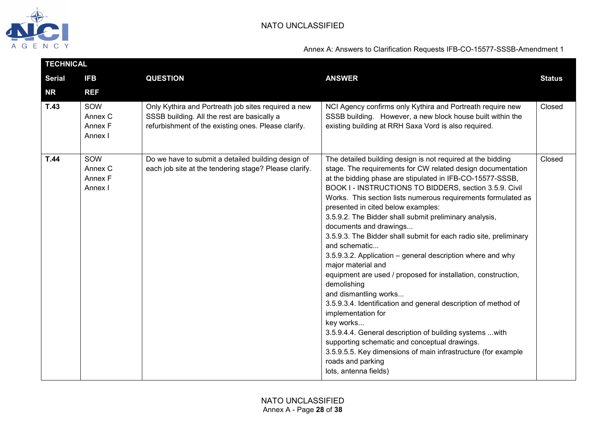

| <b>TECHNICAL</b> |                                      |                                                                                                                                                           |                                                                                                                                                                                                                                                                                                                                                                                                                                                                                                                                                                                                                                                                                                                                                                                                                                                                                                                                                                                                                                                                  |               |  |
|------------------|--------------------------------------|-----------------------------------------------------------------------------------------------------------------------------------------------------------|------------------------------------------------------------------------------------------------------------------------------------------------------------------------------------------------------------------------------------------------------------------------------------------------------------------------------------------------------------------------------------------------------------------------------------------------------------------------------------------------------------------------------------------------------------------------------------------------------------------------------------------------------------------------------------------------------------------------------------------------------------------------------------------------------------------------------------------------------------------------------------------------------------------------------------------------------------------------------------------------------------------------------------------------------------------|---------------|--|
| <b>Serial</b>    | <b>IFB</b>                           | <b>QUESTION</b>                                                                                                                                           | <b>ANSWER</b>                                                                                                                                                                                                                                                                                                                                                                                                                                                                                                                                                                                                                                                                                                                                                                                                                                                                                                                                                                                                                                                    | <b>Status</b> |  |
| <b>NR</b>        | <b>REF</b>                           |                                                                                                                                                           |                                                                                                                                                                                                                                                                                                                                                                                                                                                                                                                                                                                                                                                                                                                                                                                                                                                                                                                                                                                                                                                                  |               |  |
| T.43             | SOW<br>Annex C<br>Annex F<br>Annex I | Only Kythira and Portreath job sites required a new<br>SSSB building. All the rest are basically a<br>refurbishment of the existing ones. Please clarify. | NCI Agency confirms only Kythira and Portreath require new<br>SSSB building. However, a new block house built within the<br>existing building at RRH Saxa Vord is also required.                                                                                                                                                                                                                                                                                                                                                                                                                                                                                                                                                                                                                                                                                                                                                                                                                                                                                 | Closed        |  |
| <b>T.44</b>      | SOW<br>Annex C<br>Annex F<br>Annex I | Do we have to submit a detailed building design of<br>each job site at the tendering stage? Please clarify.                                               | The detailed building design is not required at the bidding<br>stage. The requirements for CW related design documentation<br>at the bidding phase are stipulated in IFB-CO-15577-SSSB,<br>BOOK I - INSTRUCTIONS TO BIDDERS, section 3.5.9. Civil<br>Works. This section lists numerous requirements formulated as<br>presented in cited below examples:<br>3.5.9.2. The Bidder shall submit preliminary analysis,<br>documents and drawings<br>3.5.9.3. The Bidder shall submit for each radio site, preliminary<br>and schematic<br>3.5.9.3.2. Application - general description where and why<br>major material and<br>equipment are used / proposed for installation, construction,<br>demolishing<br>and dismantling works<br>3.5.9.3.4. Identification and general description of method of<br>implementation for<br>key works<br>3.5.9.4.4. General description of building systems  with<br>supporting schematic and conceptual drawings.<br>3.5.9.5.5. Key dimensions of main infrastructure (for example<br>roads and parking<br>lots, antenna fields) | Closed        |  |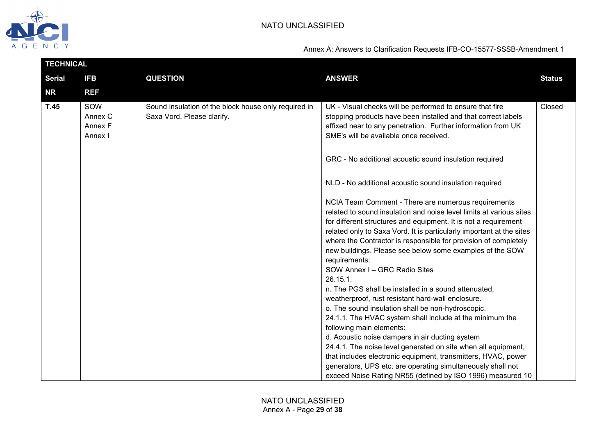

| <b>TECHNICAL</b> |                                      |                                                                                    |                                                                                                                                                                                                                                                                                                                                                                                                                       |               |  |
|------------------|--------------------------------------|------------------------------------------------------------------------------------|-----------------------------------------------------------------------------------------------------------------------------------------------------------------------------------------------------------------------------------------------------------------------------------------------------------------------------------------------------------------------------------------------------------------------|---------------|--|
| <b>Serial</b>    | <b>IFB</b>                           | <b>QUESTION</b>                                                                    | <b>ANSWER</b>                                                                                                                                                                                                                                                                                                                                                                                                         | <b>Status</b> |  |
| <b>NR</b>        | <b>REF</b>                           |                                                                                    |                                                                                                                                                                                                                                                                                                                                                                                                                       |               |  |
| T.45             | SOW<br>Annex C<br>Annex F<br>Annex I | Sound insulation of the block house only required in<br>Saxa Vord. Please clarify. | UK - Visual checks will be performed to ensure that fire<br>stopping products have been installed and that correct labels<br>affixed near to any penetration. Further information from UK<br>SME's will be available once received.                                                                                                                                                                                   | Closed        |  |
|                  |                                      |                                                                                    | GRC - No additional acoustic sound insulation required                                                                                                                                                                                                                                                                                                                                                                |               |  |
|                  |                                      |                                                                                    | NLD - No additional acoustic sound insulation required                                                                                                                                                                                                                                                                                                                                                                |               |  |
|                  |                                      |                                                                                    | NCIA Team Comment - There are numerous requirements<br>related to sound insulation and noise level limits at various sites<br>for different structures and equipment. It is not a requirement<br>related only to Saxa Vord. It is particularly important at the sites<br>where the Contractor is responsible for provision of completely<br>new buildings. Please see below some examples of the SOW<br>requirements: |               |  |
|                  |                                      |                                                                                    | SOW Annex I - GRC Radio Sites<br>26.15.1.<br>n. The PGS shall be installed in a sound attenuated,<br>weatherproof, rust resistant hard-wall enclosure.<br>o. The sound insulation shall be non-hydroscopic.                                                                                                                                                                                                           |               |  |
|                  |                                      |                                                                                    | 24.1.1. The HVAC system shall include at the minimum the<br>following main elements:<br>d. Acoustic noise dampers in air ducting system<br>24.4.1. The noise level generated on site when all equipment,                                                                                                                                                                                                              |               |  |
|                  |                                      |                                                                                    | that includes electronic equipment, transmitters, HVAC, power<br>generators, UPS etc. are operating simultaneously shall not<br>exceed Noise Rating NR55 (defined by ISO 1996) measured 10                                                                                                                                                                                                                            |               |  |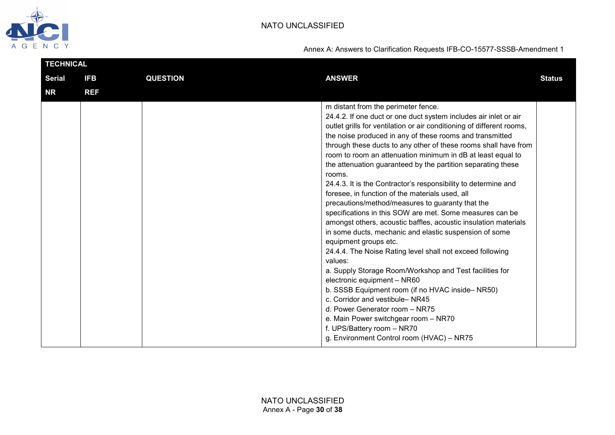

| <b>TECHNICAL</b> |            |                 |                                                                                                                                                                                                                                                                                                                                                                                                                                                                                                                                                                                                                                                                                                                                                                                                                                                                                                                                                                                                                                                                                                                                                                                                                                                                 |               |
|------------------|------------|-----------------|-----------------------------------------------------------------------------------------------------------------------------------------------------------------------------------------------------------------------------------------------------------------------------------------------------------------------------------------------------------------------------------------------------------------------------------------------------------------------------------------------------------------------------------------------------------------------------------------------------------------------------------------------------------------------------------------------------------------------------------------------------------------------------------------------------------------------------------------------------------------------------------------------------------------------------------------------------------------------------------------------------------------------------------------------------------------------------------------------------------------------------------------------------------------------------------------------------------------------------------------------------------------|---------------|
| <b>Serial</b>    | <b>IFB</b> | <b>QUESTION</b> | <b>ANSWER</b>                                                                                                                                                                                                                                                                                                                                                                                                                                                                                                                                                                                                                                                                                                                                                                                                                                                                                                                                                                                                                                                                                                                                                                                                                                                   | <b>Status</b> |
| <b>NR</b>        | <b>REF</b> |                 |                                                                                                                                                                                                                                                                                                                                                                                                                                                                                                                                                                                                                                                                                                                                                                                                                                                                                                                                                                                                                                                                                                                                                                                                                                                                 |               |
|                  |            |                 | m distant from the perimeter fence.<br>24.4.2. If one duct or one duct system includes air inlet or air<br>outlet grills for ventilation or air conditioning of different rooms,<br>the noise produced in any of these rooms and transmitted<br>through these ducts to any other of these rooms shall have from<br>room to room an attenuation minimum in dB at least equal to<br>the attenuation guaranteed by the partition separating these<br>rooms.<br>24.4.3. It is the Contractor's responsibility to determine and<br>foresee, in function of the materials used, all<br>precautions/method/measures to guaranty that the<br>specifications in this SOW are met. Some measures can be<br>amongst others, acoustic baffles, acoustic insulation materials<br>in some ducts, mechanic and elastic suspension of some<br>equipment groups etc.<br>24.4.4. The Noise Rating level shall not exceed following<br>values:<br>a. Supply Storage Room/Workshop and Test facilities for<br>electronic equipment - NR60<br>b. SSSB Equipment room (if no HVAC inside-NR50)<br>c. Corridor and vestibule-NR45<br>d. Power Generator room - NR75<br>e. Main Power switchgear room - NR70<br>f. UPS/Battery room - NR70<br>g. Environment Control room (HVAC) - NR75 |               |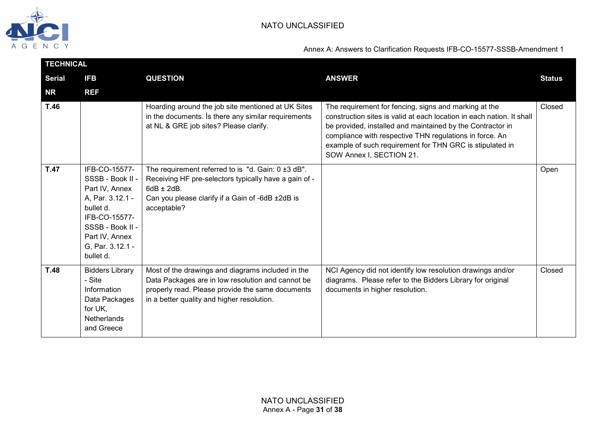

|               | <b>TECHNICAL</b>                                                                                                                                                             |                                                                                                                                                                                                          |                                                                                                                                                                                                                                                                                                                                                 |               |  |  |
|---------------|------------------------------------------------------------------------------------------------------------------------------------------------------------------------------|----------------------------------------------------------------------------------------------------------------------------------------------------------------------------------------------------------|-------------------------------------------------------------------------------------------------------------------------------------------------------------------------------------------------------------------------------------------------------------------------------------------------------------------------------------------------|---------------|--|--|
| <b>Serial</b> | <b>IFB</b>                                                                                                                                                                   | <b>QUESTION</b>                                                                                                                                                                                          | <b>ANSWER</b>                                                                                                                                                                                                                                                                                                                                   | <b>Status</b> |  |  |
| <b>NR</b>     | <b>REF</b>                                                                                                                                                                   |                                                                                                                                                                                                          |                                                                                                                                                                                                                                                                                                                                                 |               |  |  |
| T.46          |                                                                                                                                                                              | Hoarding around the job site mentioned at UK Sites<br>in the documents. Is there any similar requirements<br>at NL & GRE job sites? Please clarify.                                                      | The requirement for fencing, signs and marking at the<br>construction sites is valid at each location in each nation. It shall<br>be provided, installed and maintained by the Contractor in<br>compliance with respective THN regulations in force. An<br>example of such requirement for THN GRC is stipulated in<br>SOW Annex I, SECTION 21. | Closed        |  |  |
| T.47          | IFB-CO-15577-<br>SSSB - Book II -<br>Part IV, Annex<br>A, Par. 3.12.1 -<br>bullet d.<br>IFB-CO-15577-<br>SSSB - Book II -<br>Part IV, Annex<br>G. Par. 3.12.1 -<br>bullet d. | The requirement referred to is "d. Gain: 0 ±3 dB".<br>Receiving HF pre-selectors typically have a gain of -<br>$6dB \pm 2dB$ .<br>Can you please clarify if a Gain of -6dB ±2dB is<br>acceptable?        |                                                                                                                                                                                                                                                                                                                                                 | Open          |  |  |
| T.48          | <b>Bidders Library</b><br>- Site<br>Information<br>Data Packages<br>for UK,<br><b>Netherlands</b><br>and Greece                                                              | Most of the drawings and diagrams included in the<br>Data Packages are in low resolution and cannot be<br>properly read. Please provide the same documents<br>in a better quality and higher resolution. | NCI Agency did not identify low resolution drawings and/or<br>diagrams. Please refer to the Bidders Library for original<br>documents in higher resolution.                                                                                                                                                                                     | Closed        |  |  |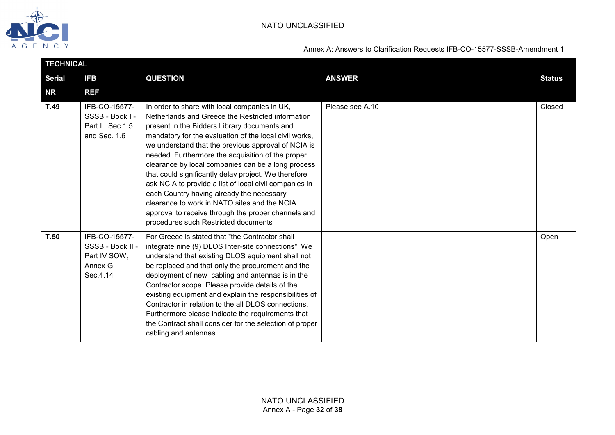

| <b>TECHNICAL</b> |                                                                           |                                                                                                                                                                                                                                                                                                                                                                                                                                                                                                                                                                                                                                                                                              |                 |               |  |
|------------------|---------------------------------------------------------------------------|----------------------------------------------------------------------------------------------------------------------------------------------------------------------------------------------------------------------------------------------------------------------------------------------------------------------------------------------------------------------------------------------------------------------------------------------------------------------------------------------------------------------------------------------------------------------------------------------------------------------------------------------------------------------------------------------|-----------------|---------------|--|
| <b>Serial</b>    | <b>IFB</b>                                                                | <b>QUESTION</b>                                                                                                                                                                                                                                                                                                                                                                                                                                                                                                                                                                                                                                                                              | <b>ANSWER</b>   | <b>Status</b> |  |
| <b>NR</b>        | <b>REF</b>                                                                |                                                                                                                                                                                                                                                                                                                                                                                                                                                                                                                                                                                                                                                                                              |                 |               |  |
| T.49             | IFB-CO-15577-<br>SSSB - Book I -<br>Part I, Sec 1.5<br>and Sec. 1.6       | In order to share with local companies in UK,<br>Netherlands and Greece the Restricted information<br>present in the Bidders Library documents and<br>mandatory for the evaluation of the local civil works,<br>we understand that the previous approval of NCIA is<br>needed. Furthermore the acquisition of the proper<br>clearance by local companies can be a long process<br>that could significantly delay project. We therefore<br>ask NCIA to provide a list of local civil companies in<br>each Country having already the necessary<br>clearance to work in NATO sites and the NCIA<br>approval to receive through the proper channels and<br>procedures such Restricted documents | Please see A.10 | Closed        |  |
| T.50             | IFB-CO-15577-<br>SSSB - Book II -<br>Part IV SOW,<br>Annex G.<br>Sec.4.14 | For Greece is stated that "the Contractor shall<br>integrate nine (9) DLOS Inter-site connections". We<br>understand that existing DLOS equipment shall not<br>be replaced and that only the procurement and the<br>deployment of new cabling and antennas is in the<br>Contractor scope. Please provide details of the<br>existing equipment and explain the responsibilities of<br>Contractor in relation to the all DLOS connections.<br>Furthermore please indicate the requirements that<br>the Contract shall consider for the selection of proper<br>cabling and antennas.                                                                                                            |                 | Open          |  |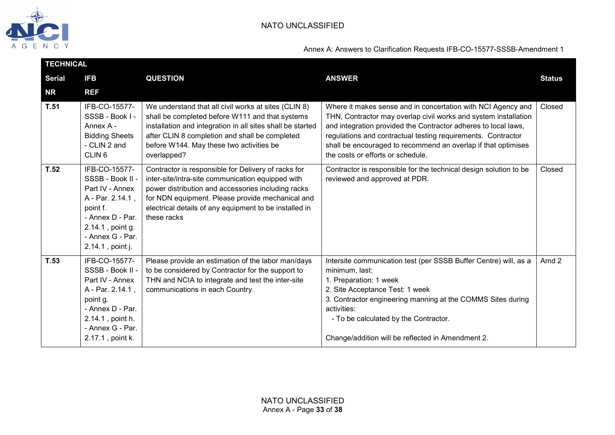

|               | <b>TECHNICAL</b>                                                                                                                                                     |                                                                                                                                                                                                                                                                                             |                                                                                                                                                                                                                                                                                                                                                                         |               |  |
|---------------|----------------------------------------------------------------------------------------------------------------------------------------------------------------------|---------------------------------------------------------------------------------------------------------------------------------------------------------------------------------------------------------------------------------------------------------------------------------------------|-------------------------------------------------------------------------------------------------------------------------------------------------------------------------------------------------------------------------------------------------------------------------------------------------------------------------------------------------------------------------|---------------|--|
| <b>Serial</b> | <b>IFB</b>                                                                                                                                                           | <b>QUESTION</b>                                                                                                                                                                                                                                                                             | <b>ANSWER</b>                                                                                                                                                                                                                                                                                                                                                           | <b>Status</b> |  |
| <b>NR</b>     | <b>REF</b>                                                                                                                                                           |                                                                                                                                                                                                                                                                                             |                                                                                                                                                                                                                                                                                                                                                                         |               |  |
| T.51          | IFB-CO-15577-<br>SSSB - Book I -<br>Annex A -<br><b>Bidding Sheets</b><br>- CLIN 2 and<br>CLIN <sub>6</sub>                                                          | We understand that all civil works at sites (CLIN 8)<br>shall be completed before W111 and that systems<br>installation and integration in all sites shall be started<br>after CLIN 8 completion and shall be completed<br>before W144. May these two activities be<br>overlapped?          | Where it makes sense and in concertation with NCI Agency and<br>THN, Contractor may overlap civil works and system installation<br>and integration provided the Contractor adheres to local laws,<br>regulations and contractual testing requirements. Contractor<br>shall be encouraged to recommend an overlap if that optimises<br>the costs or efforts or schedule. | Closed        |  |
| T.52          | IFB-CO-15577-<br>SSSB - Book II -<br>Part IV - Annex<br>A - Par. 2.14.1,<br>point f.<br>- Annex D - Par.<br>2.14.1, point g.<br>- Annex G - Par.<br>2.14.1, point j. | Contractor is responsible for Delivery of racks for<br>inter-site/intra-site communication equipped with<br>power distribution and accessories including racks<br>for NDN equipment. Please provide mechanical and<br>electrical details of any equipment to be installed in<br>these racks | Contractor is responsible for the technical design solution to be<br>reviewed and approved at PDR.                                                                                                                                                                                                                                                                      | Closed        |  |
| T.53          | IFB-CO-15577-<br>SSSB - Book II -<br>Part IV - Annex<br>A - Par. 2.14.1,<br>point g.<br>- Annex D - Par.<br>2.14.1, point h.<br>- Annex G - Par.<br>2.17.1, point k. | Please provide an estimation of the labor man/days<br>to be considered by Contractor for the support to<br>THN and NCIA to integrate and test the inter-site<br>communications in each Country.                                                                                             | Intersite communication test (per SSSB Buffer Centre) will, as a<br>minimum, last:<br>1. Preparation: 1 week<br>2. Site Acceptance Test: 1 week<br>3. Contractor engineering manning at the COMMS Sites during<br>activities:<br>- To be calculated by the Contractor.<br>Change/addition will be reflected in Amendment 2.                                             | Amd 2         |  |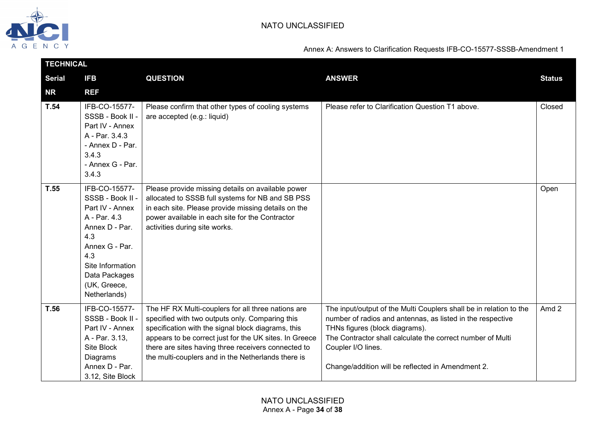

| <b>TECHNICAL</b> |                                                                                                                                                                                             |                                                                                                                                                                                                                                                                                                                                    |                                                                                                                                                                                                                                                                                                             |                  |  |
|------------------|---------------------------------------------------------------------------------------------------------------------------------------------------------------------------------------------|------------------------------------------------------------------------------------------------------------------------------------------------------------------------------------------------------------------------------------------------------------------------------------------------------------------------------------|-------------------------------------------------------------------------------------------------------------------------------------------------------------------------------------------------------------------------------------------------------------------------------------------------------------|------------------|--|
| <b>Serial</b>    | <b>IFB</b>                                                                                                                                                                                  | <b>QUESTION</b>                                                                                                                                                                                                                                                                                                                    | <b>ANSWER</b>                                                                                                                                                                                                                                                                                               | <b>Status</b>    |  |
| <b>NR</b>        | <b>REF</b>                                                                                                                                                                                  |                                                                                                                                                                                                                                                                                                                                    |                                                                                                                                                                                                                                                                                                             |                  |  |
| T.54             | IFB-CO-15577-<br>SSSB - Book II -<br>Part IV - Annex<br>A - Par. 3.4.3<br>- Annex D - Par.<br>3.4.3<br>- Annex G - Par.<br>3.4.3                                                            | Please confirm that other types of cooling systems<br>are accepted (e.g.: liquid)                                                                                                                                                                                                                                                  | Please refer to Clarification Question T1 above.                                                                                                                                                                                                                                                            | Closed           |  |
| T.55             | IFB-CO-15577-<br>SSSB - Book II -<br>Part IV - Annex<br>A - Par. 4.3<br>Annex D - Par.<br>4.3<br>Annex G - Par.<br>4.3<br>Site Information<br>Data Packages<br>(UK, Greece,<br>Netherlands) | Please provide missing details on available power<br>allocated to SSSB full systems for NB and SB PSS<br>in each site. Please provide missing details on the<br>power available in each site for the Contractor<br>activities during site works.                                                                                   |                                                                                                                                                                                                                                                                                                             | Open             |  |
| T.56             | IFB-CO-15577-<br>SSSB - Book II -<br>Part IV - Annex<br>A - Par. 3.13,<br>Site Block<br>Diagrams<br>Annex D - Par.<br>3.12, Site Block                                                      | The HF RX Multi-couplers for all three nations are<br>specified with two outputs only. Comparing this<br>specification with the signal block diagrams, this<br>appears to be correct just for the UK sites. In Greece<br>there are sites having three receivers connected to<br>the multi-couplers and in the Netherlands there is | The input/output of the Multi Couplers shall be in relation to the<br>number of radios and antennas, as listed in the respective<br>THNs figures (block diagrams).<br>The Contractor shall calculate the correct number of Multi<br>Coupler I/O lines.<br>Change/addition will be reflected in Amendment 2. | Amd <sub>2</sub> |  |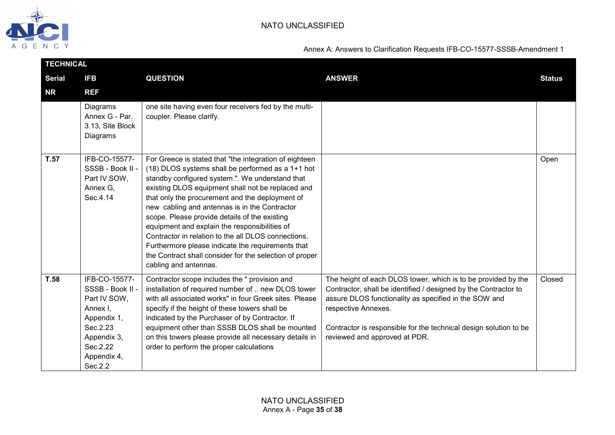

| <b>TECHNICAL</b> |                                                                                                                                               |                                                                                                                                                                                                                                                                                                                                                                                                                                                                                                                                                                                                                           |                                                                                                                                                                                                                                                                                                                        |               |
|------------------|-----------------------------------------------------------------------------------------------------------------------------------------------|---------------------------------------------------------------------------------------------------------------------------------------------------------------------------------------------------------------------------------------------------------------------------------------------------------------------------------------------------------------------------------------------------------------------------------------------------------------------------------------------------------------------------------------------------------------------------------------------------------------------------|------------------------------------------------------------------------------------------------------------------------------------------------------------------------------------------------------------------------------------------------------------------------------------------------------------------------|---------------|
| <b>Serial</b>    | <b>IFB</b>                                                                                                                                    | <b>QUESTION</b>                                                                                                                                                                                                                                                                                                                                                                                                                                                                                                                                                                                                           | <b>ANSWER</b>                                                                                                                                                                                                                                                                                                          | <b>Status</b> |
| <b>NR</b>        | <b>REF</b>                                                                                                                                    |                                                                                                                                                                                                                                                                                                                                                                                                                                                                                                                                                                                                                           |                                                                                                                                                                                                                                                                                                                        |               |
|                  | Diagrams<br>Annex G - Par.<br>3.13, Site Block<br>Diagrams                                                                                    | one site having even four receivers fed by the multi-<br>coupler. Please clarify.                                                                                                                                                                                                                                                                                                                                                                                                                                                                                                                                         |                                                                                                                                                                                                                                                                                                                        |               |
| T.57             | IFB-CO-15577-<br>SSSB - Book II -<br>Part IV SOW,<br>Annex G.<br>Sec.4.14                                                                     | For Greece is stated that "the integration of eighteen<br>(18) DLOS systems shall be performed as a 1+1 hot<br>standby configured system.". We understand that<br>existing DLOS equipment shall not be replaced and<br>that only the procurement and the deployment of<br>new cabling and antennas is in the Contractor<br>scope. Please provide details of the existing<br>equipment and explain the responsibilities of<br>Contractor in relation to the all DLOS connections.<br>Furthermore please indicate the requirements that<br>the Contract shall consider for the selection of proper<br>cabling and antennas. |                                                                                                                                                                                                                                                                                                                        | Open          |
| T.58             | IFB-CO-15577-<br>SSSB - Book II -<br>Part IV SOW,<br>Annex I.<br>Appendix 1,<br>Sec.2.23<br>Appendix 3,<br>Sec.2.22<br>Appendix 4,<br>Sec.2.2 | Contractor scope includes the " provision and<br>installation of required number of  new DLOS tower<br>with all associated works" in four Greek sites. Please<br>specify if the height of these towers shall be<br>indicated by the Purchaser of by Contractor. If<br>equipment other than SSSB DLOS shall be mounted<br>on this towers please provide all necessary details in<br>order to perform the proper calculations                                                                                                                                                                                               | The height of each DLOS tower, which is to be provided by the<br>Contractor, shall be identified / designed by the Contractor to<br>assure DLOS functionality as specified in the SOW and<br>respective Annexes.<br>Contractor is responsible for the technical design solution to be<br>reviewed and approved at PDR. | Closed        |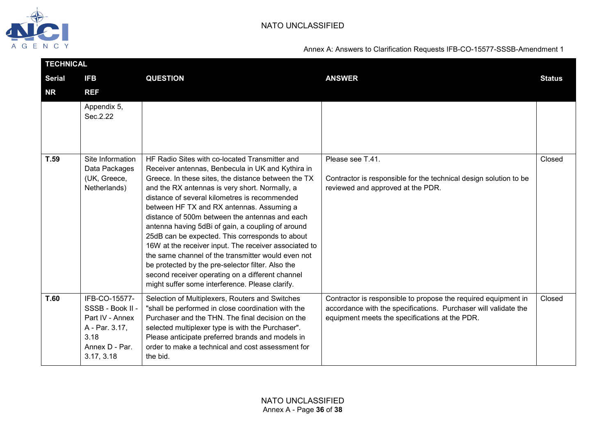

| <b>TECHNICAL</b> |                                                                                                                |                                                                                                                                                                                                                                                                                                                                                                                                                                                                                                                                                                                                                                                                                                                                                 |                                                                                                                                                                                     |               |  |
|------------------|----------------------------------------------------------------------------------------------------------------|-------------------------------------------------------------------------------------------------------------------------------------------------------------------------------------------------------------------------------------------------------------------------------------------------------------------------------------------------------------------------------------------------------------------------------------------------------------------------------------------------------------------------------------------------------------------------------------------------------------------------------------------------------------------------------------------------------------------------------------------------|-------------------------------------------------------------------------------------------------------------------------------------------------------------------------------------|---------------|--|
| <b>Serial</b>    | <b>IFB</b>                                                                                                     | <b>QUESTION</b>                                                                                                                                                                                                                                                                                                                                                                                                                                                                                                                                                                                                                                                                                                                                 | <b>ANSWER</b>                                                                                                                                                                       | <b>Status</b> |  |
| <b>NR</b>        | <b>REF</b>                                                                                                     |                                                                                                                                                                                                                                                                                                                                                                                                                                                                                                                                                                                                                                                                                                                                                 |                                                                                                                                                                                     |               |  |
|                  | Appendix 5,<br>Sec.2.22                                                                                        |                                                                                                                                                                                                                                                                                                                                                                                                                                                                                                                                                                                                                                                                                                                                                 |                                                                                                                                                                                     |               |  |
| T.59             | Site Information<br>Data Packages<br>(UK, Greece,<br>Netherlands)                                              | HF Radio Sites with co-located Transmitter and<br>Receiver antennas, Benbecula in UK and Kythira in<br>Greece. In these sites, the distance between the TX<br>and the RX antennas is very short. Normally, a<br>distance of several kilometres is recommended<br>between HF TX and RX antennas. Assuming a<br>distance of 500m between the antennas and each<br>antenna having 5dBi of gain, a coupling of around<br>25dB can be expected. This corresponds to about<br>16W at the receiver input. The receiver associated to<br>the same channel of the transmitter would even not<br>be protected by the pre-selector filter. Also the<br>second receiver operating on a different channel<br>might suffer some interference. Please clarify. | Please see T.41.<br>Contractor is responsible for the technical design solution to be<br>reviewed and approved at the PDR.                                                          | Closed        |  |
| T.60             | IFB-CO-15577-<br>SSSB - Book II -<br>Part IV - Annex<br>A - Par. 3.17,<br>3.18<br>Annex D - Par.<br>3.17, 3.18 | Selection of Multiplexers, Routers and Switches<br>"shall be performed in close coordination with the<br>Purchaser and the THN. The final decision on the<br>selected multiplexer type is with the Purchaser".<br>Please anticipate preferred brands and models in<br>order to make a technical and cost assessment for<br>the bid.                                                                                                                                                                                                                                                                                                                                                                                                             | Contractor is responsible to propose the required equipment in<br>accordance with the specifications. Purchaser will validate the<br>equipment meets the specifications at the PDR. | Closed        |  |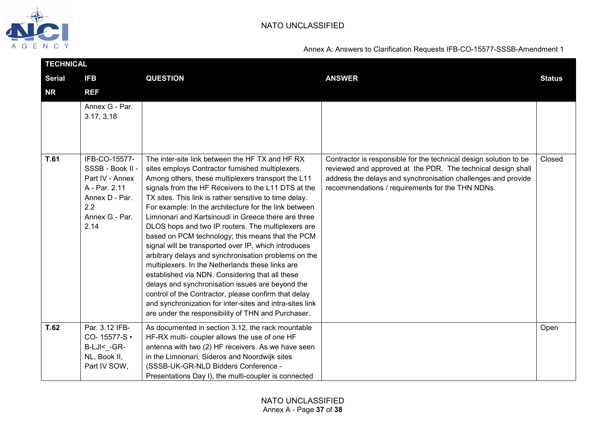

| <b>Serial</b><br><b>QUESTION</b><br><b>ANSWER</b><br><b>IFB</b><br><b>NR</b><br><b>REF</b><br>Annex G - Par.<br>3.17, 3.18<br>T.61<br>IFB-CO-15577-<br>The inter-site link between the HF TX and HF RX<br>Contractor is responsible for the technical design solution to be<br>SSSB - Book II -<br>sites employs Contractor furnished multiplexers.<br>reviewed and approved at the PDR. The technical design shall<br>Part IV - Annex<br>Among others, these multiplexers transport the L11<br>address the delays and synchronisation challenges and provide<br>A - Par. 2.11<br>signals from the HF Receivers to the L11 DTS at the<br>recommendations / requirements for the THN NDNs.<br>TX sites. This link is rather sensitive to time delay.<br>Annex D - Par.<br>2.2<br>For example: In the architecture for the link between<br>Annex G - Par.<br>Limnonari and Kartsinoudi in Greece there are three<br>2.14<br>DLOS hops and two IP routers. The multiplexers are<br>based on PCM technology; this means that the PCM<br>signal will be transported over IP, which introduces<br>arbitrary delays and synchronisation problems on the<br>multiplexers. In the Netherlands these links are<br>established via NDN. Considering that all these<br>delays and synchronisation issues are beyond the<br>control of the Contractor, please confirm that delay<br>and synchronization for inter-sites and intra-sites link<br>are under the responsibility of THN and Purchaser.<br>T.62<br>Par. 3.12 IFB-<br>As documented in section 3.12, the rack mountable<br>CO-15577-S ·<br>HF-RX multi- coupler allows the use of one HF<br>B-LJI<_-GR-<br>antenna with two (2) HF receivers. As we have seen<br>NL, Book II,<br>in the Limnonari, Sideros and Noordwijk sites | <b>TECHNICAL</b> |              |                                      |  |               |  |
|-----------------------------------------------------------------------------------------------------------------------------------------------------------------------------------------------------------------------------------------------------------------------------------------------------------------------------------------------------------------------------------------------------------------------------------------------------------------------------------------------------------------------------------------------------------------------------------------------------------------------------------------------------------------------------------------------------------------------------------------------------------------------------------------------------------------------------------------------------------------------------------------------------------------------------------------------------------------------------------------------------------------------------------------------------------------------------------------------------------------------------------------------------------------------------------------------------------------------------------------------------------------------------------------------------------------------------------------------------------------------------------------------------------------------------------------------------------------------------------------------------------------------------------------------------------------------------------------------------------------------------------------------------------------------------------------------------------------------------------------------------------------------------|------------------|--------------|--------------------------------------|--|---------------|--|
|                                                                                                                                                                                                                                                                                                                                                                                                                                                                                                                                                                                                                                                                                                                                                                                                                                                                                                                                                                                                                                                                                                                                                                                                                                                                                                                                                                                                                                                                                                                                                                                                                                                                                                                                                                             |                  |              |                                      |  | <b>Status</b> |  |
|                                                                                                                                                                                                                                                                                                                                                                                                                                                                                                                                                                                                                                                                                                                                                                                                                                                                                                                                                                                                                                                                                                                                                                                                                                                                                                                                                                                                                                                                                                                                                                                                                                                                                                                                                                             |                  |              |                                      |  |               |  |
|                                                                                                                                                                                                                                                                                                                                                                                                                                                                                                                                                                                                                                                                                                                                                                                                                                                                                                                                                                                                                                                                                                                                                                                                                                                                                                                                                                                                                                                                                                                                                                                                                                                                                                                                                                             |                  |              |                                      |  |               |  |
|                                                                                                                                                                                                                                                                                                                                                                                                                                                                                                                                                                                                                                                                                                                                                                                                                                                                                                                                                                                                                                                                                                                                                                                                                                                                                                                                                                                                                                                                                                                                                                                                                                                                                                                                                                             |                  |              |                                      |  | Closed        |  |
| Presentations Day I), the multi-coupler is connected                                                                                                                                                                                                                                                                                                                                                                                                                                                                                                                                                                                                                                                                                                                                                                                                                                                                                                                                                                                                                                                                                                                                                                                                                                                                                                                                                                                                                                                                                                                                                                                                                                                                                                                        |                  | Part IV SOW, | (SSSB-UK-GR-NLD Bidders Conference - |  | Open          |  |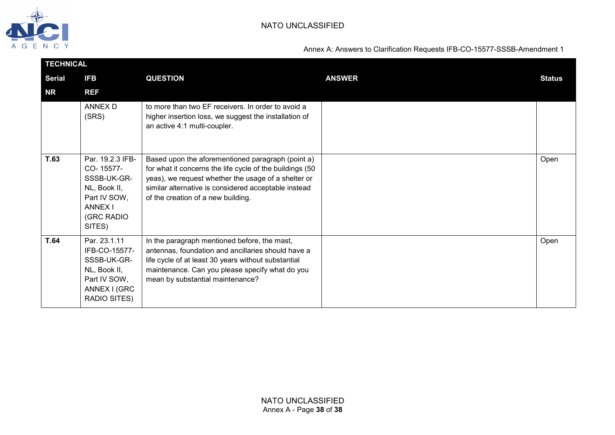

| <b>TECHNICAL</b> |                                                                                                                        |                                                                                                                                                                                                                                                                    |               |               |
|------------------|------------------------------------------------------------------------------------------------------------------------|--------------------------------------------------------------------------------------------------------------------------------------------------------------------------------------------------------------------------------------------------------------------|---------------|---------------|
| <b>Serial</b>    | <b>IFB</b>                                                                                                             | <b>QUESTION</b>                                                                                                                                                                                                                                                    | <b>ANSWER</b> | <b>Status</b> |
| NR               | <b>REF</b>                                                                                                             |                                                                                                                                                                                                                                                                    |               |               |
|                  | <b>ANNEX D</b><br>(SRS)                                                                                                | to more than two EF receivers. In order to avoid a<br>higher insertion loss, we suggest the installation of<br>an active 4:1 multi-coupler.                                                                                                                        |               |               |
| T.63             | Par. 19.2.3 IFB-<br>CO-15577-<br>SSSB-UK-GR-<br>NL, Book II,<br>Part IV SOW,<br><b>ANNEX I</b><br>(GRC RADIO<br>SITES) | Based upon the aforementioned paragraph (point a)<br>for what it concerns the life cycle of the buildings (50<br>yeas), we request whether the usage of a shelter or<br>similar alternative is considered acceptable instead<br>of the creation of a new building. |               | Open          |
| <b>T.64</b>      | Par. 23.1.11<br>IFB-CO-15577-<br>SSSB-UK-GR-<br>NL, Book II,<br>Part IV SOW,<br>ANNEX I (GRC<br>RADIO SITES)           | In the paragraph mentioned before, the mast,<br>antennas, foundation and ancillaries should have a<br>life cycle of at least 30 years without substantial<br>maintenance. Can you please specify what do you<br>mean by substantial maintenance?                   |               | Open          |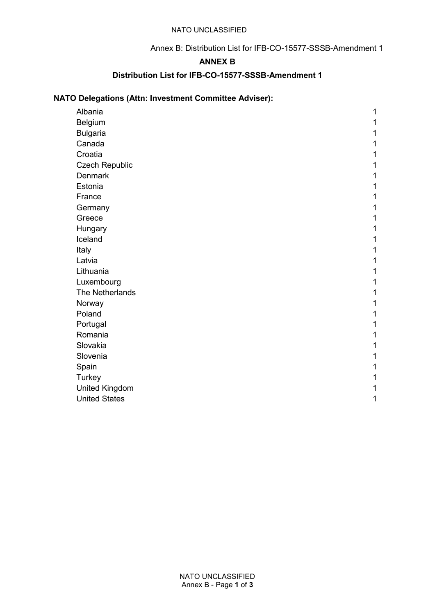### Annex B: Distribution List for IFB-CO-15577-SSSB-Amendment 1

## **ANNEX B**

## **Distribution List for IFB-CO-15577-SSSB-Amendment 1**

# **NATO Delegations (Attn: Investment Committee Adviser):**

| Albania               | 1 |
|-----------------------|---|
| Belgium               |   |
| <b>Bulgaria</b>       |   |
| Canada                |   |
| Croatia               |   |
| <b>Czech Republic</b> |   |
| <b>Denmark</b>        |   |
| Estonia               |   |
| France                |   |
| Germany               |   |
| Greece                |   |
| Hungary               |   |
| Iceland               |   |
| Italy                 |   |
| Latvia                |   |
| Lithuania             |   |
| Luxembourg            |   |
| The Netherlands       |   |
| Norway                |   |
| Poland                |   |
| Portugal              |   |
| Romania               |   |
| Slovakia              |   |
| Slovenia              |   |
| Spain                 |   |
| Turkey                |   |
| <b>United Kingdom</b> |   |
| <b>United States</b>  | 1 |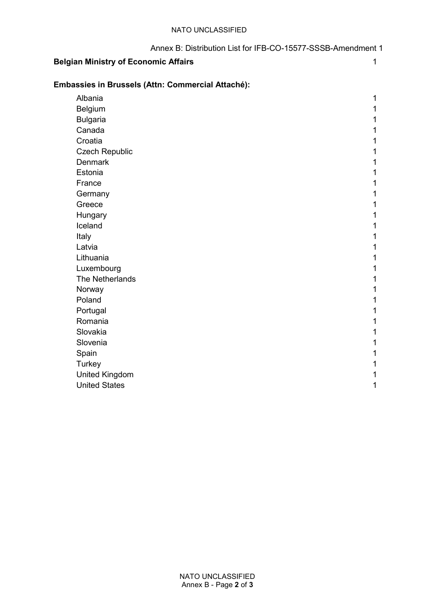| Annex B: Distribution List for IFB-CO-15577-SSSB-Amendment 1 |
|--------------------------------------------------------------|
|                                                              |

# **Belgian Ministry of Economic Affairs** 1

## **Embassies in Brussels (Attn: Commercial Attaché):**

| Albania               | 1 |
|-----------------------|---|
| Belgium               | 1 |
| <b>Bulgaria</b>       | 1 |
| Canada                | 1 |
| Croatia               | 1 |
| <b>Czech Republic</b> | 1 |
| <b>Denmark</b>        | 1 |
| Estonia               | 1 |
| France                | 1 |
| Germany               | 1 |
| Greece                | 1 |
| Hungary               | 1 |
| Iceland               | 1 |
| Italy                 | 1 |
| Latvia                | 1 |
| Lithuania             | 1 |
| Luxembourg            | 1 |
| The Netherlands       | 1 |
| Norway                | 1 |
| Poland                | 1 |
| Portugal              | 1 |
| Romania               | 1 |
| Slovakia              | 1 |
| Slovenia              | 1 |
| Spain                 | 1 |
| <b>Turkey</b>         | 1 |
| <b>United Kingdom</b> | 1 |
| <b>United States</b>  | 1 |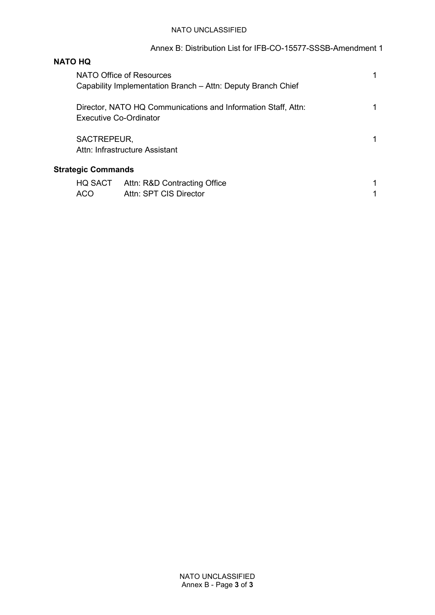## Annex B: Distribution List for IFB-CO-15577-SSSB-Amendment 1

# **NATO HQ**

|     | NATO Office of Resources<br>Capability Implementation Branch - Attn: Deputy Branch Chief       |  |
|-----|------------------------------------------------------------------------------------------------|--|
|     | Director, NATO HQ Communications and Information Staff, Attn:<br><b>Executive Co-Ordinator</b> |  |
|     | SACTREPEUR,<br>Attn: Infrastructure Assistant                                                  |  |
|     | <b>Strategic Commands</b>                                                                      |  |
| ACO | HQ SACT<br>Attn: R&D Contracting Office<br>Attn: SPT CIS Director                              |  |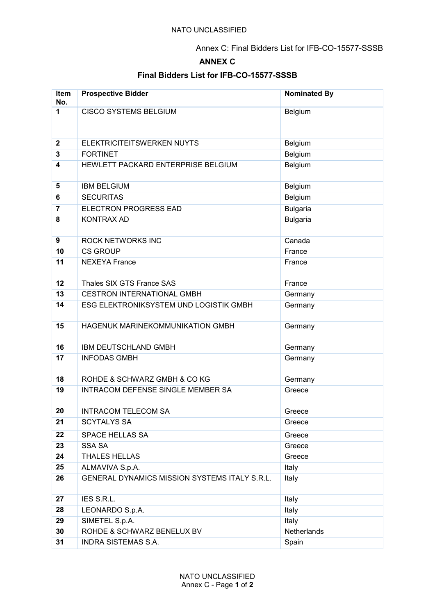Annex C: Final Bidders List for IFB-CO-15577-SSSB

## **ANNEX C**

## **Final Bidders List for IFB-CO-15577-SSSB**

| Item<br>No.             | <b>Prospective Bidder</b>                                        | <b>Nominated By</b> |
|-------------------------|------------------------------------------------------------------|---------------------|
| 1                       | <b>CISCO SYSTEMS BELGIUM</b>                                     | Belgium             |
|                         |                                                                  |                     |
| $\mathbf 2$             | ELEKTRICITEITSWERKEN NUYTS                                       | Belgium             |
| 3                       | <b>FORTINET</b>                                                  | Belgium             |
| $\overline{\mathbf{4}}$ | HEWLETT PACKARD ENTERPRISE BELGIUM                               | Belgium             |
| 5                       | <b>IBM BELGIUM</b>                                               | Belgium             |
| 6                       | <b>SECURITAS</b>                                                 | Belgium             |
| $\overline{7}$          | <b>ELECTRON PROGRESS EAD</b>                                     | <b>Bulgaria</b>     |
| 8                       | <b>KONTRAX AD</b>                                                | <b>Bulgaria</b>     |
|                         |                                                                  |                     |
| 9                       | <b>ROCK NETWORKS INC</b>                                         | Canada              |
| 10                      | <b>CS GROUP</b>                                                  | France              |
| 11                      | <b>NEXEYA France</b>                                             | France              |
|                         | Thales SIX GTS France SAS                                        |                     |
| 12<br>13                |                                                                  | France              |
|                         | <b>CESTRON INTERNATIONAL GMBH</b>                                | Germany             |
| 14                      | ESG ELEKTRONIKSYSTEM UND LOGISTIK GMBH                           | Germany             |
| 15                      | HAGENUK MARINEKOMMUNIKATION GMBH                                 | Germany             |
|                         |                                                                  |                     |
| 16                      | IBM DEUTSCHLAND GMBH                                             | Germany             |
| 17                      | <b>INFODAS GMBH</b>                                              | Germany             |
|                         |                                                                  |                     |
| 18                      | ROHDE & SCHWARZ GMBH & COKG                                      | Germany             |
| 19                      | <b>INTRACOM DEFENSE SINGLE MEMBER SA</b>                         | Greece              |
|                         |                                                                  |                     |
| 20<br>21                | <b>INTRACOM TELECOM SA</b><br><b>SCYTALYS SA</b>                 | Greece<br>Greece    |
|                         |                                                                  |                     |
| 22                      | SPACE HELLAS SA                                                  | Greece              |
| 23<br>24                | <b>SSA SA</b>                                                    | Greece              |
|                         | THALES HELLAS                                                    | Greece              |
| 25<br>26                | ALMAVIVA S.p.A.<br>GENERAL DYNAMICS MISSION SYSTEMS ITALY S.R.L. | Italy<br>Italy      |
|                         |                                                                  |                     |
| 27                      | IES S.R.L.                                                       | Italy               |
| 28                      | LEONARDO S.p.A.                                                  | Italy               |
| 29                      | SIMETEL S.p.A.                                                   | Italy               |
| 30                      | ROHDE & SCHWARZ BENELUX BV                                       | Netherlands         |
| 31                      | <b>INDRA SISTEMAS S.A.</b>                                       | Spain               |